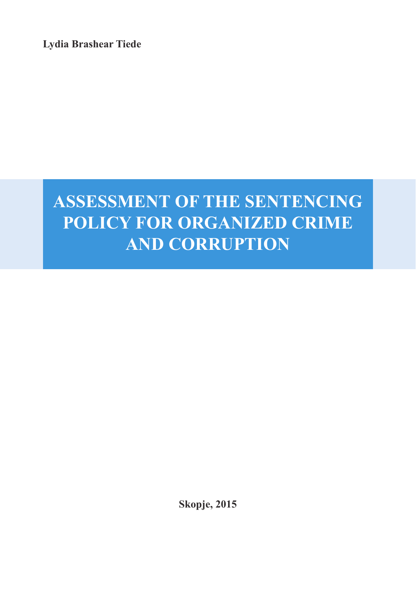**Lydia Brashear Tiede**

# **ASSESSMENT OF THE SENTENCING POLICY FOR ORGANIZED CRIME AND CORRUPTION**

**Skopje, 2015**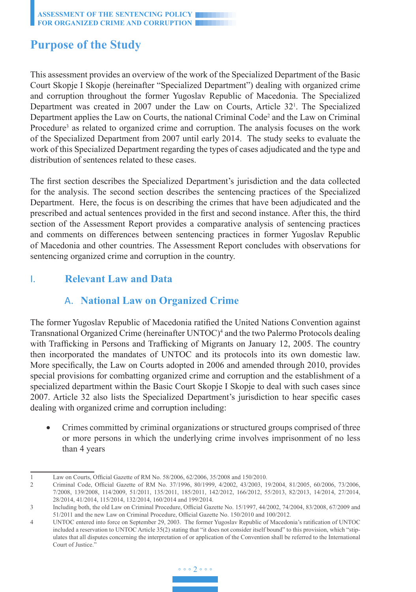# **Purpose of the Study**

This assessment provides an overview of the work of the Specialized Department of the Basic Court Skopje I Skopje (hereinafter "Specialized Department") dealing with organized crime and corruption throughout the former Yugoslav Republic of Macedonia. The Specialized Department was created in 2007 under the Law on Courts, Article 32<sup>1</sup>. The Specialized Department applies the Law on Courts, the national Criminal Code<sup>2</sup> and the Law on Criminal Procedure<sup>3</sup> as related to organized crime and corruption. The analysis focuses on the work of the Specialized Department from 2007 until early 2014. The study seeks to evaluate the work of this Specialized Department regarding the types of cases adjudicated and the type and distribution of sentences related to these cases.

The first section describes the Specialized Department's jurisdiction and the data collected for the analysis. The second section describes the sentencing practices of the Specialized Department. Here, the focus is on describing the crimes that have been adjudicated and the prescribed and actual sentences provided in the first and second instance. After this, the third section of the Assessment Report provides a comparative analysis of sentencing practices and comments on differences between sentencing practices in former Yugoslav Republic of Macedonia and other countries. The Assessment Report concludes with observations for sentencing organized crime and corruption in the country.

# I. **Relevant Law and Data**

# A. **National Law on Organized Crime**

The former Yugoslav Republic of Macedonia ratified the United Nations Convention against Transnational Organized Crime (hereinafter  $UNTOC$ <sup>4</sup> and the two Palermo Protocols dealing with Trafficking in Persons and Trafficking of Migrants on January 12, 2005. The country then incorporated the mandates of UNTOC and its protocols into its own domestic law. More specifically, the Law on Courts adopted in 2006 and amended through 2010, provides special provisions for combatting organized crime and corruption and the establishment of a specialized department within the Basic Court Skopje I Skopje to deal with such cases since 2007. Article 32 also lists the Specialized Department's jurisdiction to hear specific cases dealing with organized crime and corruption including:

• Crimes committed by criminal organizations or structured groups comprised of three or more persons in which the underlying crime involves imprisonment of no less than 4 years

<sup>1</sup> Law on Courts, Official Gazette of RM No. 58/2006, 62/2006, 35/2008 and 150/2010.

<sup>2</sup> Criminal Code, Official Gazette of RM No. 37/1996, 80/1999, 4/2002, 43/2003, 19/2004, 81/2005, 60/2006, 73/2006, 7/2008, 139/2008, 114/2009, 51/2011, 135/2011, 185/2011, 142/2012, 166/2012, 55/2013, 82/2013, 14/2014, 27/2014, 28/2014, 41/2014, 115/2014, 132/2014, 160/2014 and 199/2014.

<sup>3</sup> Including both, the old Law on Criminal Procedure, Official Gazette No. 15/1997, 44/2002, 74/2004, 83/2008, 67/2009 and 51/2011 and the new Law on Criminal Procedure, Official Gazette No. 150/2010 and 100/2012.

<sup>4</sup> UNTOC entered into force on September 29, 2003. The former Yugoslav Republic of Macedonia's ratification of UNTOC included a reservation to UNTOC Article 35(2) stating that "it does not consider itself bound" to this provision, which "stipulates that all disputes concerning the interpretation of or application of the Convention shall be referred to the International Court of Justice.'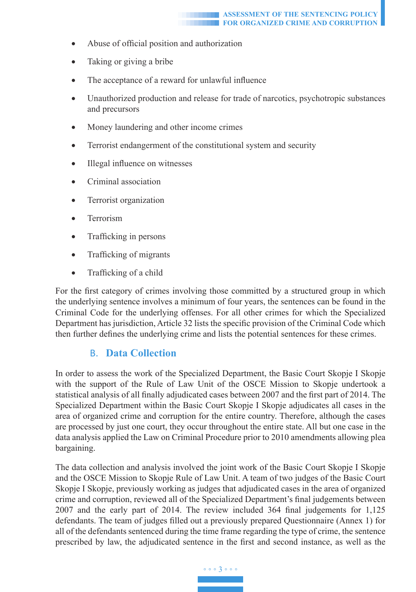- Abuse of official position and authorization
- Taking or giving a bribe
- The acceptance of a reward for unlawful influence
- Unauthorized production and release for trade of narcotics, psychotropic substances and precursors
- Money laundering and other income crimes
- Terrorist endangerment of the constitutional system and security
- Illegal influence on witnesses
- Criminal association
- Terrorist organization
- Terrorism
- Trafficking in persons
- Trafficking of migrants
- Trafficking of a child

For the first category of crimes involving those committed by a structured group in which the underlying sentence involves a minimum of four years, the sentences can be found in the Criminal Code for the underlying offenses. For all other crimes for which the Specialized Department has jurisdiction, Article 32 lists the specific provision of the Criminal Code which then further defines the underlying crime and lists the potential sentences for these crimes.

### B. **Data Collection**

In order to assess the work of the Specialized Department, the Basic Court Skopje I Skopje with the support of the Rule of Law Unit of the OSCE Mission to Skopje undertook a statistical analysis of all finally adjudicated cases between 2007 and the first part of 2014. The Specialized Department within the Basic Court Skopje I Skopje adjudicates all cases in the area of organized crime and corruption for the entire country. Therefore, although the cases are processed by just one court, they occur throughout the entire state. All but one case in the data analysis applied the Law on Criminal Procedure prior to 2010 amendments allowing plea bargaining.

The data collection and analysis involved the joint work of the Basic Court Skopje I Skopje and the OSCE Mission to Skopje Rule of Law Unit. A team of two judges of the Basic Court Skopje I Skopje, previously working as judges that adjudicated cases in the area of organized crime and corruption, reviewed all of the Specialized Department's final judgements between 2007 and the early part of 2014. The review included 364 final judgements for 1,125 defendants. The team of judges filled out a previously prepared Questionnaire (Annex 1) for all of the defendants sentenced during the time frame regarding the type of crime, the sentence prescribed by law, the adjudicated sentence in the first and second instance, as well as the

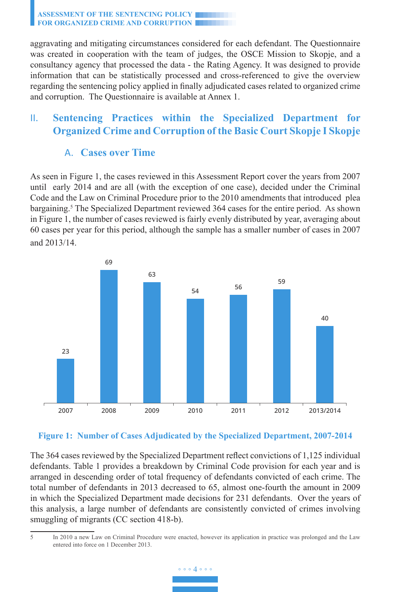aggravating and mitigating circumstances considered for each defendant. The Questionnaire was created in cooperation with the team of judges, the OSCE Mission to Skopje, and a consultancy agency that processed the data - the Rating Agency. It was designed to provide information that can be statistically processed and cross-referenced to give the overview regarding the sentencing policy applied in finally adjudicated cases related to organized crime and corruption. The Questionnaire is available at Annex 1.

# II. **Sentencing Practices within the Specialized Department for Organized Crime and Corruption of the Basic Court Skopje I Skopje**

## A. **Cases over Time**

As seen in Figure 1, the cases reviewed in this Assessment Report cover the years from 2007 until early 2014 and are all (with the exception of one case), decided under the Criminal Code and the Law on Criminal Procedure prior to the 2010 amendments that introduced plea bargaining.<sup>5</sup> The Specialized Department reviewed 364 cases for the entire period. As shown in Figure 1, the number of cases reviewed is fairly evenly distributed by year, averaging about 60 cases per year for this period, although the sample has a smaller number of cases in 2007 and 2013/14.





The 364 cases reviewed by the Specialized Department reflect convictions of 1,125 individual defendants. Table 1 provides a breakdown by Criminal Code provision for each year and is arranged in descending order of total frequency of defendants convicted of each crime. The total number of defendants in 2013 decreased to 65, almost one-fourth the amount in 2009 in which the Specialized Department made decisions for 231 defendants. Over the years of this analysis, a large number of defendants are consistently convicted of crimes involving smuggling of migrants (CC section 418-b).

<sup>5</sup> In 2010 a new Law on Criminal Procedure were enacted, however its application in practice was prolonged and the Law entered into force on 1 December 2013.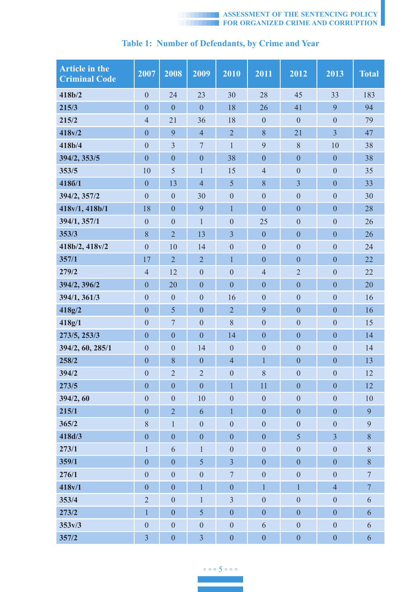

| <b>Article in the</b><br><b>Criminal Code</b> | 2007             | 2008             | 2009             | 2010             | 2011             | 2012             | 2013             | <b>Total</b>   |
|-----------------------------------------------|------------------|------------------|------------------|------------------|------------------|------------------|------------------|----------------|
| 418b/2                                        | $\mathbf{0}$     | 24               | 23               | 30               | 28               | 45               | 33               | 183            |
| 215/3                                         | $\mathbf{0}$     | $\overline{0}$   | $\overline{0}$   | 18               | 26               | 41               | 9                | 94             |
| 215/2                                         | $\overline{4}$   | 21               | 36               | 18               | $\boldsymbol{0}$ | $\boldsymbol{0}$ | $\mathbf{0}$     | 79             |
| 418v/2                                        | $\boldsymbol{0}$ | 9                | $\overline{4}$   | $\overline{2}$   | 8                | 21               | $\mathfrak{Z}$   | 47             |
| 418b/4                                        | $\mathbf{0}$     | $\mathfrak{Z}$   | $\overline{7}$   | $\mathbf{1}$     | 9                | 8                | 10               | 38             |
| 394/2, 353/5                                  | $\boldsymbol{0}$ | $\mathbf{0}$     | $\boldsymbol{0}$ | 38               | $\overline{0}$   | $\overline{0}$   | $\boldsymbol{0}$ | 38             |
| 353/5                                         | 10               | 5                | 1                | 15               | $\overline{4}$   | $\boldsymbol{0}$ | $\boldsymbol{0}$ | 35             |
| 4186/1                                        | $\mathbf{0}$     | 13               | $\overline{4}$   | 5                | 8                | $\mathfrak{Z}$   | $\mathbf{0}$     | 33             |
| 394/2, 357/2                                  | $\mathbf{0}$     | $\mathbf{0}$     | 30               | $\mathbf{0}$     | $\overline{0}$   | $\overline{0}$   | $\overline{0}$   | 30             |
| 418v/1, 418b/1                                | 18               | $\mathbf{0}$     | 9                | $\mathbf{1}$     | $\overline{0}$   | $\overline{0}$   | $\boldsymbol{0}$ | 28             |
| 394/1, 357/1                                  | $\boldsymbol{0}$ | $\mathbf{0}$     | $\mathbf{1}$     | $\boldsymbol{0}$ | 25               | $\mathbf{0}$     | $\boldsymbol{0}$ | 26             |
| 353/3                                         | 8                | $\overline{2}$   | 13               | $\overline{3}$   | $\mathbf{0}$     | $\mathbf{0}$     | $\boldsymbol{0}$ | 26             |
| 418b/2, 418v/2                                | $\mathbf{0}$     | 10               | 14               | $\mathbf{0}$     | $\boldsymbol{0}$ | $\overline{0}$   | $\overline{0}$   | 24             |
| 357/1                                         | 17               | $\overline{2}$   | $\overline{2}$   | $\mathbf{1}$     | $\overline{0}$   | $\overline{0}$   | $\overline{0}$   | 22             |
| 279/2                                         | $\overline{4}$   | 12               | $\mathbf{0}$     | $\mathbf{0}$     | $\overline{4}$   | $\overline{2}$   | $\boldsymbol{0}$ | 22             |
| 394/2, 396/2                                  | $\mathbf{0}$     | 20               | $\boldsymbol{0}$ | $\boldsymbol{0}$ | $\mathbf{0}$     | $\mathbf{0}$     | $\mathbf{0}$     | 20             |
| 394/1, 361/3                                  | $\mathbf{0}$     | $\mathbf{0}$     | $\overline{0}$   | 16               | $\overline{0}$   | $\overline{0}$   | $\overline{0}$   | 16             |
| 418g/2                                        | $\mathbf{0}$     | 5                | $\overline{0}$   | $\overline{2}$   | 9                | $\overline{0}$   | $\overline{0}$   | 16             |
| 418g/1                                        | $\boldsymbol{0}$ | $\overline{7}$   | $\mathbf{0}$     | 8                | $\mathbf{0}$     | $\mathbf{0}$     | $\mathbf{0}$     | 15             |
| 273/5, 253/3                                  | $\boldsymbol{0}$ | $\mathbf{0}$     | $\mathbf{0}$     | 14               | $\boldsymbol{0}$ | $\boldsymbol{0}$ | $\boldsymbol{0}$ | 14             |
| 394/2, 60, 285/1                              | $\mathbf{0}$     | $\mathbf{0}$     | 14               | $\mathbf{0}$     | $\mathbf{0}$     | $\mathbf{0}$     | $\mathbf{0}$     | 14             |
| 258/2                                         | $\mathbf{0}$     | $\,$ 8 $\,$      | $\boldsymbol{0}$ | $\overline{4}$   | $\mathbf{1}$     | $\overline{0}$   | $\overline{0}$   | 13             |
| 394/2                                         | $\boldsymbol{0}$ | $\overline{2}$   | $\overline{2}$   | $\boldsymbol{0}$ | 8                | $\mathbf{0}$     | $\boldsymbol{0}$ | 12             |
| 273/5                                         | $\mathbf{0}$     | $\mathbf{0}$     | $\boldsymbol{0}$ | $\mathbf{1}$     | 11               | $\mathbf{0}$     | $\mathbf{0}$     | 12             |
| 394/2, 60                                     | $\mathbf{0}$     | $\mathbf{0}$     | 10               | $\boldsymbol{0}$ | $\boldsymbol{0}$ | $\overline{0}$   | $\overline{0}$   | 10             |
| 215/1                                         | $\mathbf{0}$     | $\overline{2}$   | 6                | $\mathbf{1}$     | $\overline{0}$   | $\overline{0}$   | $\overline{0}$   | 9              |
| 365/2                                         | 8                | 1                | $\mathbf{0}$     | $\boldsymbol{0}$ | $\mathbf{0}$     | $\mathbf{0}$     | $\mathbf{0}$     | 9              |
| 418d/3                                        | $\mathbf{0}$     | $\mathbf{0}$     | $\mathbf{0}$     | $\mathbf{0}$     | $\mathbf{0}$     | 5                | $\overline{3}$   | $\,$ 8 $\,$    |
| 273/1                                         | $\mathbf{1}$     | 6                | 1                | $\overline{0}$   | $\overline{0}$   | $\overline{0}$   | $\boldsymbol{0}$ | $\,$ 8 $\,$    |
| 359/1                                         | $\boldsymbol{0}$ | $\mathbf{0}$     | 5                | 3                | $\mathbf{0}$     | $\mathbf{0}$     | $\boldsymbol{0}$ | 8              |
| 276/1                                         | $\overline{0}$   | $\overline{0}$   | $\boldsymbol{0}$ | $\boldsymbol{7}$ | $\boldsymbol{0}$ | $\boldsymbol{0}$ | $\overline{0}$   | $\overline{7}$ |
| 418v/1                                        | $\mathbf{0}$     | $\mathbf{0}$     | $\mathbf{1}$     | $\boldsymbol{0}$ | $\mathbf{1}$     | $\mathbf{1}$     | $\overline{4}$   | $\tau$         |
| 353/4                                         | $\sqrt{2}$       | $\mathbf{0}$     | $\mathbf{1}$     | $\mathfrak{Z}$   | $\overline{0}$   | $\overline{0}$   | $\overline{0}$   | 6              |
| 273/2                                         | $\mathbf{1}$     | $\boldsymbol{0}$ | 5                | $\boldsymbol{0}$ | $\overline{0}$   | $\overline{0}$   | $\overline{0}$   | 6              |
| 353v/3                                        | $\mathbf{0}$     | $\mathbf{0}$     | $\boldsymbol{0}$ | $\boldsymbol{0}$ | 6                | $\theta$         | $\boldsymbol{0}$ | 6              |
| 357/2                                         | $\overline{3}$   | $\overline{0}$   | 3                | $\overline{0}$   | $\overline{0}$   | $\overline{0}$   | $\overline{0}$   | 6              |

# **Table 1: Number of Defendants, by Crime and Year**

◦ ◦ ◦ 5 ◦ ◦ ◦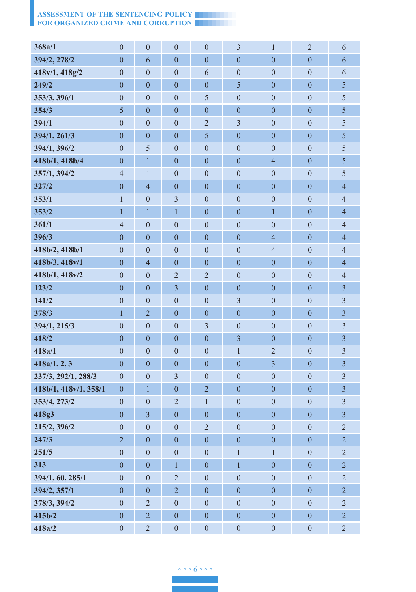| 368a/1                | $\boldsymbol{0}$         | $\boldsymbol{0}$        | $\boldsymbol{0}$        | $\boldsymbol{0}$ | $\overline{\mathbf{3}}$ | $\mathbf{1}$            | $\overline{2}$   | 6                         |
|-----------------------|--------------------------|-------------------------|-------------------------|------------------|-------------------------|-------------------------|------------------|---------------------------|
| 394/2, 278/2          | $\boldsymbol{0}$         | 6                       | $\overline{0}$          | $\overline{0}$   | $\overline{0}$          | $\boldsymbol{0}$        | $\overline{0}$   | 6                         |
| 418v/1, 418g/2        | $\boldsymbol{0}$         | $\boldsymbol{0}$        | $\boldsymbol{0}$        | 6                | $\boldsymbol{0}$        | $\boldsymbol{0}$        | $\boldsymbol{0}$ | 6                         |
| 249/2                 | $\boldsymbol{0}$         | $\boldsymbol{0}$        | $\boldsymbol{0}$        | $\boldsymbol{0}$ | 5                       | $\boldsymbol{0}$        | $\mathbf{0}$     | 5                         |
| 353/3, 396/1          | $\boldsymbol{0}$         | $\boldsymbol{0}$        | $\boldsymbol{0}$        | 5                | $\boldsymbol{0}$        | $\boldsymbol{0}$        | $\mathbf{0}$     | 5                         |
| 354/3                 | 5                        | $\boldsymbol{0}$        | $\overline{0}$          | $\boldsymbol{0}$ | $\overline{0}$          | $\overline{0}$          | $\mathbf{0}$     | 5                         |
| 394/1                 | $\boldsymbol{0}$         | $\mathbf{0}$            | $\mathbf{0}$            | $\sqrt{2}$       | $\overline{3}$          | $\boldsymbol{0}$        | $\boldsymbol{0}$ | 5                         |
| 394/1, 261/3          | $\boldsymbol{0}$         | $\boldsymbol{0}$        | $\mathbf{0}$            | 5                | $\boldsymbol{0}$        | $\boldsymbol{0}$        | $\boldsymbol{0}$ | 5                         |
| 394/1, 396/2          | $\boldsymbol{0}$         | 5                       | $\mathbf{0}$            | $\boldsymbol{0}$ | $\boldsymbol{0}$        | $\boldsymbol{0}$        | $\boldsymbol{0}$ | 5                         |
| 418b/1, 418b/4        | $\boldsymbol{0}$         | $\mathbf{1}$            | $\mathbf{0}$            | $\boldsymbol{0}$ | $\boldsymbol{0}$        | $\overline{4}$          | $\boldsymbol{0}$ | 5                         |
| 357/1, 394/2          | $\overline{4}$           | $\mathbf{1}$            | $\boldsymbol{0}$        | $\boldsymbol{0}$ | $\boldsymbol{0}$        | $\boldsymbol{0}$        | $\boldsymbol{0}$ | 5                         |
| 327/2                 | $\boldsymbol{0}$         | $\overline{4}$          | $\mathbf{0}$            | $\boldsymbol{0}$ | $\boldsymbol{0}$        | $\boldsymbol{0}$        | $\boldsymbol{0}$ | $\overline{4}$            |
| 353/1                 | $\,1$                    | $\boldsymbol{0}$        | $\overline{\mathbf{3}}$ | $\boldsymbol{0}$ | $\boldsymbol{0}$        | $\boldsymbol{0}$        | $\mathbf{0}$     | $\overline{4}$            |
| 353/2                 | $\mathbf{1}$             | $\mathbf{1}$            | $\overline{1}$          | $\boldsymbol{0}$ | $\overline{0}$          | $\overline{1}$          | $\overline{0}$   | $\overline{4}$            |
| 361/1                 | $\overline{4}$           | $\mathbf{0}$            | $\mathbf{0}$            | $\boldsymbol{0}$ | $\boldsymbol{0}$        | $\mathbf{0}$            | $\boldsymbol{0}$ | $\overline{4}$            |
| 396/3                 | $\boldsymbol{0}$         | $\boldsymbol{0}$        | $\mathbf{0}$            | $\boldsymbol{0}$ | $\boldsymbol{0}$        | $\overline{4}$          | $\boldsymbol{0}$ | $\overline{4}$            |
| 418b/2, 418b/1        | $\boldsymbol{0}$         | $\boldsymbol{0}$        | $\boldsymbol{0}$        | $\boldsymbol{0}$ | $\boldsymbol{0}$        | $\overline{4}$          | $\boldsymbol{0}$ | $\overline{4}$            |
| 418b/3, 418v/1        | $\boldsymbol{0}$         | $\overline{4}$          | $\mathbf{0}$            | $\boldsymbol{0}$ | $\boldsymbol{0}$        | $\boldsymbol{0}$        | $\boldsymbol{0}$ | $\overline{4}$            |
| 418b/1, 418v/2        | $\boldsymbol{0}$         | $\mathbf{0}$            | $\overline{2}$          | $\overline{c}$   | $\boldsymbol{0}$        | $\boldsymbol{0}$        | $\boldsymbol{0}$ | $\overline{4}$            |
| 123/2                 | $\boldsymbol{0}$         | $\boldsymbol{0}$        | $\mathfrak{Z}$          | $\boldsymbol{0}$ | $\boldsymbol{0}$        | $\boldsymbol{0}$        | $\boldsymbol{0}$ | $\overline{\mathbf{3}}$   |
| 141/2                 | $\boldsymbol{0}$         | $\boldsymbol{0}$        | $\boldsymbol{0}$        | $\boldsymbol{0}$ | $\overline{\mathbf{3}}$ | $\boldsymbol{0}$        | $\boldsymbol{0}$ | $\overline{\mathbf{3}}$   |
| 378/3                 | $\mathbf{1}$             | $\overline{2}$          | $\boldsymbol{0}$        | $\boldsymbol{0}$ | $\overline{0}$          | $\boldsymbol{0}$        | $\overline{0}$   | $\overline{3}$            |
| 394/1, 215/3          | $\boldsymbol{0}$         | $\mathbf{0}$            | $\mathbf{0}$            | $\overline{3}$   | $\boldsymbol{0}$        | $\boldsymbol{0}$        | $\boldsymbol{0}$ | $\overline{\mathbf{3}}$   |
| 418/2                 | $\boldsymbol{0}$         | $\boldsymbol{0}$        | $\boldsymbol{0}$        | $\boldsymbol{0}$ | $\overline{\mathbf{3}}$ | $\boldsymbol{0}$        | $\boldsymbol{0}$ | $\overline{\mathbf{3}}$   |
| 418a/1                | $\boldsymbol{0}$         | $\boldsymbol{0}$        | $\boldsymbol{0}$        | $\boldsymbol{0}$ | $\mathbf{1}$            | $\overline{2}$          | $\boldsymbol{0}$ | $\overline{3}$            |
| 418a/1, 2, 3          | $\boldsymbol{0}$         | $\boldsymbol{0}$        | $\boldsymbol{0}$        | $\boldsymbol{0}$ | $\boldsymbol{0}$        | $\overline{\mathbf{3}}$ | $\boldsymbol{0}$ | $\overline{\mathbf{3}}$   |
| 237/3, 292/1, 288/3   | $\boldsymbol{0}$         | $\boldsymbol{0}$        | $\mathfrak{Z}$          | $\boldsymbol{0}$ | $\overline{0}$          | $\boldsymbol{0}$        | $\mathbf{0}$     | $\overline{\mathbf{3}}$   |
| 418b/1, 418v/1, 358/1 | $\boldsymbol{0}$         | $\mathbf{1}$            | $\mathbf{0}$            | $\overline{c}$   | $\boldsymbol{0}$        | $\boldsymbol{0}$        | $\boldsymbol{0}$ | $\overline{\mathbf{3}}$   |
| 353/4, 273/2          | $\boldsymbol{0}$         | $\boldsymbol{0}$        | $\overline{2}$          | $\mathbf{1}$     | $\boldsymbol{0}$        | $\mathbf{0}$            | $\mathbf{0}$     | $\overline{\mathbf{3}}$   |
| 418g3                 | $\overline{0}$           | $\overline{\mathbf{3}}$ | $\boldsymbol{0}$        | $\boldsymbol{0}$ | $\overline{0}$          | $\boldsymbol{0}$        | $\overline{0}$   | $\overline{\mathbf{3}}$   |
| 215/2, 396/2          | $\mathbf{0}$             | $\mathbf{0}$            | $\mathbf{0}$            | $\overline{c}$   | $\boldsymbol{0}$        | $\mathbf{0}$            | $\boldsymbol{0}$ | $\overline{c}$            |
| 247/3                 | $\overline{\mathcal{L}}$ | $\boldsymbol{0}$        | $\boldsymbol{0}$        | $\boldsymbol{0}$ | $\boldsymbol{0}$        | $\boldsymbol{0}$        | $\boldsymbol{0}$ | $\overline{\mathfrak{L}}$ |
| 251/5                 | $\boldsymbol{0}$         | $\boldsymbol{0}$        | $\boldsymbol{0}$        | $\boldsymbol{0}$ | $\,1$                   | $\mathbf{1}$            | $\boldsymbol{0}$ | $\sqrt{2}$                |
| 313                   | $\boldsymbol{0}$         | $\boldsymbol{0}$        | $\mathbf{1}$            | $\boldsymbol{0}$ | $\mathbf{1}$            | $\boldsymbol{0}$        | $\boldsymbol{0}$ | $\overline{c}$            |
| 394/1, 60, 285/1      | $\boldsymbol{0}$         | $\boldsymbol{0}$        | $\sqrt{2}$              | $\boldsymbol{0}$ | $\overline{0}$          | $\boldsymbol{0}$        | $\boldsymbol{0}$ | $\sqrt{2}$                |
| 394/2, 357/1          | $\boldsymbol{0}$         | $\boldsymbol{0}$        | $\overline{2}$          | $\boldsymbol{0}$ | $\boldsymbol{0}$        | $\boldsymbol{0}$        | $\boldsymbol{0}$ | $\overline{c}$            |
| 378/3, 394/2          | $\boldsymbol{0}$         | $\sqrt{2}$              | $\boldsymbol{0}$        | $\boldsymbol{0}$ | $\boldsymbol{0}$        | $\boldsymbol{0}$        | $\boldsymbol{0}$ | $\overline{c}$            |
| 415b/2                | $\boldsymbol{0}$         | $\sqrt{2}$              | $\overline{0}$          | $\boldsymbol{0}$ | $\overline{0}$          | $\boldsymbol{0}$        | $\boldsymbol{0}$ | $\overline{2}$            |
| 418a/2                | $\boldsymbol{0}$         | $\overline{c}$          | $\boldsymbol{0}$        | $\boldsymbol{0}$ | $\boldsymbol{0}$        | $\boldsymbol{0}$        | $\boldsymbol{0}$ | $\overline{c}$            |

◦ ◦ ◦ 6 ◦ ◦ ◦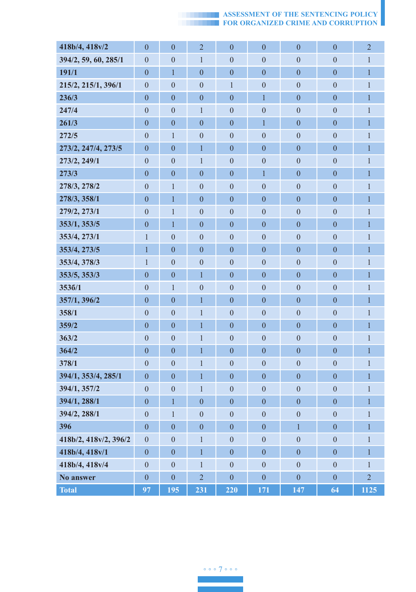| 418b/4, 418v/2        |                                  |                                  |                                |                                      |                                      |                                    |                                      | $\overline{c}$               |
|-----------------------|----------------------------------|----------------------------------|--------------------------------|--------------------------------------|--------------------------------------|------------------------------------|--------------------------------------|------------------------------|
| 394/2, 59, 60, 285/1  | $\mathbf{0}$<br>$\overline{0}$   | $\mathbf{0}$<br>$\theta$         | $\overline{2}$<br>$\mathbf{1}$ | $\mathbf{0}$                         | $\boldsymbol{0}$                     | $\boldsymbol{0}$<br>$\overline{0}$ | $\mathbf{0}$                         |                              |
| 191/1                 |                                  | 1                                | $\overline{0}$                 | $\boldsymbol{0}$<br>$\boldsymbol{0}$ | $\boldsymbol{0}$                     | $\boldsymbol{0}$                   | $\boldsymbol{0}$<br>$\boldsymbol{0}$ | $\mathbf{1}$<br>$\mathbf{1}$ |
| 215/2, 215/1, 396/1   | $\bf{0}$<br>$\boldsymbol{0}$     | $\boldsymbol{0}$                 | $\boldsymbol{0}$               | $\mathbf{1}$                         | $\boldsymbol{0}$<br>$\boldsymbol{0}$ | $\boldsymbol{0}$                   | $\boldsymbol{0}$                     | $\,1$                        |
| 236/3                 | $\boldsymbol{0}$                 | $\boldsymbol{0}$                 | $\boldsymbol{0}$               | $\boldsymbol{0}$                     | $\mathbf{1}$                         | $\overline{0}$                     | $\overline{0}$                       | $\overline{1}$               |
| 247/4                 |                                  |                                  | $\mathbf{1}$                   |                                      | $\overline{0}$                       | $\boldsymbol{0}$                   | $\boldsymbol{0}$                     | $\,1$                        |
| 261/3                 | $\boldsymbol{0}$                 | $\boldsymbol{0}$                 | $\overline{0}$                 | $\boldsymbol{0}$<br>$\overline{0}$   | $\mathbf{1}$                         |                                    | $\overline{0}$                       | $\overline{1}$               |
| 272/5                 | $\boldsymbol{0}$<br>$\mathbf{0}$ | $\boldsymbol{0}$<br>$\mathbf{1}$ | $\boldsymbol{0}$               | $\boldsymbol{0}$                     | $\overline{0}$                       | $\boldsymbol{0}$<br>$\overline{0}$ | $\mathbf{0}$                         | $\mathbf{1}$                 |
| 273/2, 247/4, 273/5   | $\overline{0}$                   | $\mathbf{0}$                     | $\overline{1}$                 | $\mathbf{0}$                         | $\overline{0}$                       | $\overline{0}$                     | $\boldsymbol{0}$                     | $\mathbf{1}$                 |
| 273/2, 249/1          | $\boldsymbol{0}$                 | $\boldsymbol{0}$                 | $\mathbf{1}$                   | $\boldsymbol{0}$                     | $\overline{0}$                       | $\overline{0}$                     | $\mathbf{0}$                         | $\mathbf{1}$                 |
| 273/3                 | $\boldsymbol{0}$                 | $\boldsymbol{0}$                 | $\boldsymbol{0}$               | $\mathbf{0}$                         | $\mathbf{1}$                         | $\mathbf{0}$                       | $\overline{0}$                       | $\mathbf{1}$                 |
| 278/3, 278/2          | $\boldsymbol{0}$                 | $\mathbf{1}$                     | $\boldsymbol{0}$               | $\boldsymbol{0}$                     | $\boldsymbol{0}$                     | $\overline{0}$                     | $\overline{0}$                       | $\,1$                        |
| 278/3, 358/1          | $\boldsymbol{0}$                 | $\mathbf{1}$                     | $\boldsymbol{0}$               | $\mathbf{0}$                         | $\mathbf{0}$                         | $\mathbf{0}$                       | $\mathbf{0}$                         | $\mathbf{1}$                 |
| 279/2, 273/1          | $\mathbf{0}$                     | $\mathbf{1}$                     | $\boldsymbol{0}$               | $\boldsymbol{0}$                     | $\mathbf{0}$                         | $\mathbf{0}$                       | $\mathbf{0}$                         | $\mathbf{1}$                 |
| 353/1, 353/5          | $\overline{0}$                   | 1                                | $\overline{0}$                 | $\overline{0}$                       | $\overline{0}$                       | $\overline{0}$                     | $\overline{0}$                       | $\overline{1}$               |
| 353/4, 273/1          | $\mathbf{1}$                     | $\boldsymbol{0}$                 | $\boldsymbol{0}$               | $\boldsymbol{0}$                     | $\mathbf{0}$                         | $\mathbf{0}$                       | $\mathbf{0}$                         | $\mathbf{1}$                 |
| 353/4, 273/5          | $\mathbf{1}$                     | $\boldsymbol{0}$                 | $\boldsymbol{0}$               | $\mathbf{0}$                         | $\mathbf{0}$                         | $\mathbf{0}$                       | $\boldsymbol{0}$                     | $\mathbf{1}$                 |
| 353/4, 378/3          | $\mathbf{1}$                     | $\mathbf{0}$                     | $\boldsymbol{0}$               | $\boldsymbol{0}$                     | $\overline{0}$                       | $\mathbf{0}$                       | $\overline{0}$                       | $\mathbf{1}$                 |
| 353/5, 353/3          | $\boldsymbol{0}$                 | $\mathbf{0}$                     | $\mathbf{1}$                   | $\mathbf{0}$                         | $\mathbf{0}$                         | $\mathbf{0}$                       | $\mathbf{0}$                         | $\mathbf{1}$                 |
| 3536/1                | $\mathbf{0}$                     | $\mathbf{1}$                     | $\boldsymbol{0}$               | $\mathbf{0}$                         | $\mathbf{0}$                         | $\mathbf{0}$                       | $\mathbf{0}$                         | $\mathbf{1}$                 |
| 357/1, 396/2          | $\overline{0}$                   | $\overline{0}$                   | $\mathbf{1}$                   | $\overline{0}$                       | $\overline{0}$                       | $\overline{0}$                     | $\overline{0}$                       | $\overline{1}$               |
| 358/1                 | $\mathbf{0}$                     | $\boldsymbol{0}$                 | $\mathbf{1}$                   | $\boldsymbol{0}$                     | $\mathbf{0}$                         | $\mathbf{0}$                       | $\mathbf{0}$                         | $\mathbf{1}$                 |
| 359/2                 | $\boldsymbol{0}$                 | $\boldsymbol{0}$                 | $\mathbf{1}$                   | $\mathbf{0}$                         | $\mathbf{0}$                         | $\mathbf{0}$                       | $\mathbf{0}$                         | $\mathbf{1}$                 |
| 363/2                 | $\mathbf{0}$                     | $\mathbf{0}$                     | $\mathbf{1}$                   | $\mathbf{0}$                         | $\boldsymbol{0}$                     | $\boldsymbol{0}$                   | $\mathbf{0}$                         | $\mathbf{1}$                 |
| 364/2                 | $\boldsymbol{0}$                 | $\boldsymbol{0}$                 | $\mathbf{1}$                   | $\boldsymbol{0}$                     | $\boldsymbol{0}$                     | $\boldsymbol{0}$                   | $\mathbf{0}$                         | $\mathbf{1}$                 |
| 378/1                 | $\boldsymbol{0}$                 | $\overline{0}$                   | $\mathbf{1}$                   | $\overline{0}$                       | $\boldsymbol{0}$                     | $\overline{0}$                     | $\overline{0}$                       | $\mathbf{1}$                 |
| 394/1, 353/4, 285/1   | $\overline{0}$                   | $\overline{0}$                   | $\mathbf{1}$                   | $\boldsymbol{0}$                     | $\overline{0}$                       | $\overline{0}$                     | $\overline{0}$                       | $\mathbf{1}$                 |
| 394/1, 357/2          | $\boldsymbol{0}$                 | $\boldsymbol{0}$                 | $\mathbf{1}$                   | $\boldsymbol{0}$                     | $\boldsymbol{0}$                     | $\boldsymbol{0}$                   | $\boldsymbol{0}$                     | $\mathbf{1}$                 |
| 394/1, 288/1          | $\boldsymbol{0}$                 | $\mathbf{1}$                     | $\boldsymbol{0}$               | $\boldsymbol{0}$                     | $\overline{0}$                       | $\overline{0}$                     | $\overline{0}$                       | $\overline{1}$               |
| 394/2, 288/1          | $\boldsymbol{0}$                 | $\mathbf{1}$                     | $\boldsymbol{0}$               | $\mathbf{0}$                         | $\mathbf{0}$                         | $\mathbf{0}$                       | $\mathbf{0}$                         | $\mathbf{1}$                 |
| 396                   | $\boldsymbol{0}$                 | $\boldsymbol{0}$                 | $\boldsymbol{0}$               | $\mathbf{0}$                         | $\boldsymbol{0}$                     | $\mathbf{1}$                       | $\boldsymbol{0}$                     | $\mathbf{1}$                 |
| 418b/2, 418v/2, 396/2 | $\boldsymbol{0}$                 | $\mathbf{0}$                     | $\mathbf{1}$                   | $\mathbf{0}$                         | $\overline{0}$                       | $\overline{0}$                     | $\overline{0}$                       | $\mathbf{1}$                 |
| 418b/4, 418v/1        | $\bf{0}$                         | $\boldsymbol{0}$                 | $\mathbf{1}$                   | $\boldsymbol{0}$                     | $\overline{0}$                       | $\overline{0}$                     | $\overline{0}$                       | $\mathbf{1}$                 |
| 418b/4, 418v/4        | $\boldsymbol{0}$                 | $\boldsymbol{0}$                 | $\mathbf{1}$                   | $\boldsymbol{0}$                     | $\overline{0}$                       | $\mathbf{0}$                       | $\boldsymbol{0}$                     | $\mathbf{1}$                 |
| No answer             | $\bf{0}$                         | $\boldsymbol{0}$                 | $\overline{2}$                 | $\boldsymbol{0}$                     | $\overline{0}$                       | $\mathbf{0}$                       | $\overline{0}$                       | $\overline{2}$               |
| <b>Total</b>          | 97                               | 195                              | 231                            | 220                                  | 171                                  | 147                                | 64                                   | 1125                         |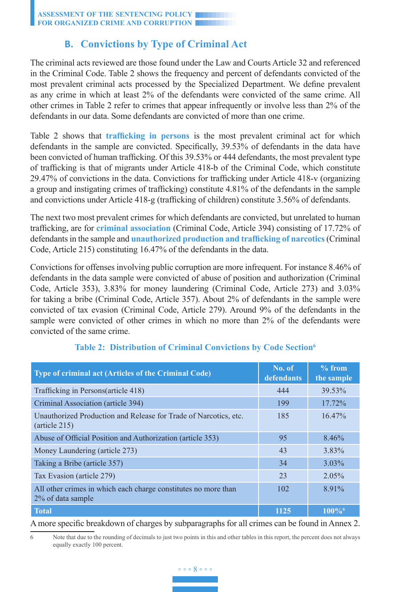# **B. Convictions by Type of Criminal Act**

The criminal acts reviewed are those found under the Law and Courts Article 32 and referenced in the Criminal Code. Table 2 shows the frequency and percent of defendants convicted of the most prevalent criminal acts processed by the Specialized Department. We define prevalent as any crime in which at least 2% of the defendants were convicted of the same crime. All other crimes in Table 2 refer to crimes that appear infrequently or involve less than 2% of the defendants in our data. Some defendants are convicted of more than one crime.

Table 2 shows that **trafficking in persons** is the most prevalent criminal act for which defendants in the sample are convicted. Specifically, 39.53% of defendants in the data have been convicted of human trafficking. Of this 39.53% or 444 defendants, the most prevalent type of trafficking is that of migrants under Article 418-b of the Criminal Code, which constitute 29.47% of convictions in the data. Convictions for trafficking under Article 418-v (organizing a group and instigating crimes of trafficking) constitute 4.81% of the defendants in the sample and convictions under Article 418-g (trafficking of children) constitute 3.56% of defendants.

The next two most prevalent crimes for which defendants are convicted, but unrelated to human trafficking, are for **criminal association** (Criminal Code, Article 394) consisting of 17.72% of defendants in the sample and **unauthorized production and trafficking of narcotics**(Criminal Code, Article 215) constituting 16.47% of the defendants in the data.

Convictions for offenses involving public corruption are more infrequent. For instance 8.46% of defendants in the data sample were convicted of abuse of position and authorization (Criminal Code, Article 353), 3.83% for money laundering (Criminal Code, Article 273) and 3.03% for taking a bribe (Criminal Code, Article 357). About 2% of defendants in the sample were convicted of tax evasion (Criminal Code, Article 279). Around 9% of the defendants in the sample were convicted of other crimes in which no more than 2% of the defendants were convicted of the same crime.

| Type of criminal act (Articles of the Criminal Code)                                        | No. of<br>defendants | $%$ from<br>the sample |
|---------------------------------------------------------------------------------------------|----------------------|------------------------|
| Trafficking in Persons(article 418)                                                         | 444                  | 39.53%                 |
| Criminal Association (article 394)                                                          | 199                  | 17.72%                 |
| Unauthorized Production and Release for Trade of Narcotics, etc.<br>$(\text{article } 215)$ | 185                  | 16.47%                 |
| Abuse of Official Position and Authorization (article 353)                                  | 95                   | 8.46%                  |
| Money Laundering (article 273)                                                              | 43                   | 3.83%                  |
| Taking a Bribe (article 357)                                                                | 34                   | $3.03\%$               |
| Tax Evasion (article 279)                                                                   | 23                   | 2.05%                  |
| All other crimes in which each charge constitutes no more than<br>2% of data sample         | 102                  | $8.91\%$               |
| <b>Total</b>                                                                                | 1125                 | $100\%$ <sup>6</sup>   |

### **Table 2: Distribution of Criminal Convictions by Code Section6**

#### A more specific breakdown of charges by subparagraphs for all crimes can be found in Annex 2.

# ◦ ◦ ◦ 8 ◦ ◦ ◦

<sup>6</sup> Note that due to the rounding of decimals to just two points in this and other tables in this report, the percent does not always equally exactly 100 percent.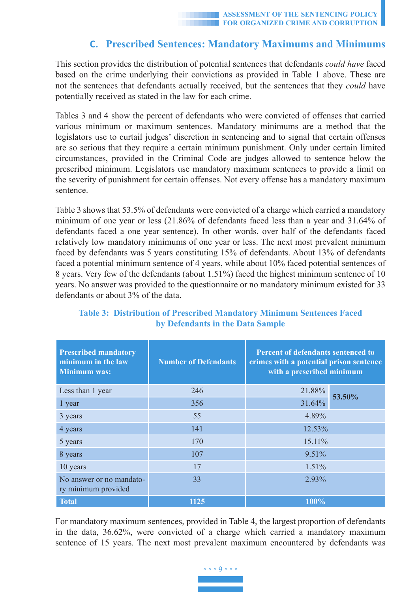# **C. Prescribed Sentences: Mandatory Maximums and Minimums**

This section provides the distribution of potential sentences that defendants *could have* faced based on the crime underlying their convictions as provided in Table 1 above. These are not the sentences that defendants actually received, but the sentences that they *could* have potentially received as stated in the law for each crime.

Tables 3 and 4 show the percent of defendants who were convicted of offenses that carried various minimum or maximum sentences. Mandatory minimums are a method that the legislators use to curtail judges' discretion in sentencing and to signal that certain offenses are so serious that they require a certain minimum punishment. Only under certain limited circumstances, provided in the Criminal Code are judges allowed to sentence below the prescribed minimum. Legislators use mandatory maximum sentences to provide a limit on the severity of punishment for certain offenses. Not every offense has a mandatory maximum sentence.

Table 3 shows that 53.5% of defendants were convicted of a charge which carried a mandatory minimum of one year or less (21.86% of defendants faced less than a year and 31.64% of defendants faced a one year sentence). In other words, over half of the defendants faced relatively low mandatory minimums of one year or less. The next most prevalent minimum faced by defendants was 5 years constituting 15% of defendants. About 13% of defendants faced a potential minimum sentence of 4 years, while about 10% faced potential sentences of 8 years. Very few of the defendants (about 1.51%) faced the highest minimum sentence of 10 years. No answer was provided to the questionnaire or no mandatory minimum existed for 33 defendants or about 3% of the data.

| <b>Prescribed mandatory</b><br>minimum in the law<br><b>Minimum was:</b> | <b>Number of Defendants</b> | Percent of defendants sentenced to<br>crimes with a potential prison sentence<br>with a prescribed minimum |        |  |  |
|--------------------------------------------------------------------------|-----------------------------|------------------------------------------------------------------------------------------------------------|--------|--|--|
| Less than 1 year                                                         | 246                         | 21.88%                                                                                                     | 53.50% |  |  |
| 1 year                                                                   | 356                         | 31.64%                                                                                                     |        |  |  |
| 3 years                                                                  | 55                          | 4.89%                                                                                                      |        |  |  |
| 4 years                                                                  | 141                         | 12.53%                                                                                                     |        |  |  |
| 5 years                                                                  | 170                         | 15.11%                                                                                                     |        |  |  |
| 8 years                                                                  | 107                         | 9.51%                                                                                                      |        |  |  |
| 10 years                                                                 | 17                          | 1.51%                                                                                                      |        |  |  |
| No answer or no mandato-<br>ry minimum provided                          | 33                          | 2.93%                                                                                                      |        |  |  |
| <b>Total</b>                                                             | 1125                        | 100%                                                                                                       |        |  |  |

### **Table 3: Distribution of Prescribed Mandatory Minimum Sentences Faced by Defendants in the Data Sample**

For mandatory maximum sentences, provided in Table 4, the largest proportion of defendants in the data, 36.62%, were convicted of a charge which carried a mandatory maximum sentence of 15 years. The next most prevalent maximum encountered by defendants was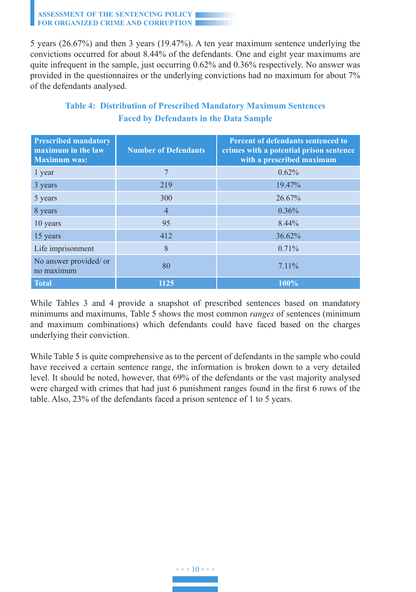5 years (26.67%) and then 3 years (19.47%). A ten year maximum sentence underlying the convictions occurred for about 8.44% of the defendants. One and eight year maximums are quite infrequent in the sample, just occurring 0.62% and 0.36% respectively. No answer was provided in the questionnaires or the underlying convictions had no maximum for about 7% of the defendants analysed.

| <b>Prescribed mandatory</b><br>maximum in the law<br><b>Maximum was:</b> | <b>Number of Defendants</b> | Percent of defendants sentenced to<br>crimes with a potential prison sentence<br>with a prescribed maximum |
|--------------------------------------------------------------------------|-----------------------------|------------------------------------------------------------------------------------------------------------|
| 1 year                                                                   | $\overline{7}$              | 0.62%                                                                                                      |
| 3 years                                                                  | 219                         | 19.47%                                                                                                     |
| 5 years                                                                  | 300                         | 26.67%                                                                                                     |
| 8 years                                                                  | $\overline{4}$              | $0.36\%$                                                                                                   |
| 10 years                                                                 | 95                          | 8.44%                                                                                                      |
| 15 years                                                                 | 412                         | 36.62%                                                                                                     |
| Life imprisonment                                                        | 8                           | 0.71%                                                                                                      |
| No answer provided/ or<br>no maximum                                     | 80                          | $7.11\%$                                                                                                   |
| <b>Total</b>                                                             | 1125                        | $100\%$                                                                                                    |

# **Table 4: Distribution of Prescribed Mandatory Maximum Sentences Faced by Defendants in the Data Sample**

While Tables 3 and 4 provide a snapshot of prescribed sentences based on mandatory minimums and maximums, Table 5 shows the most common *ranges* of sentences (minimum and maximum combinations) which defendants could have faced based on the charges underlying their conviction.

While Table 5 is quite comprehensive as to the percent of defendants in the sample who could have received a certain sentence range, the information is broken down to a very detailed level. It should be noted, however, that 69% of the defendants or the vast majority analysed were charged with crimes that had just 6 punishment ranges found in the first 6 rows of the table. Also, 23% of the defendants faced a prison sentence of 1 to 5 years.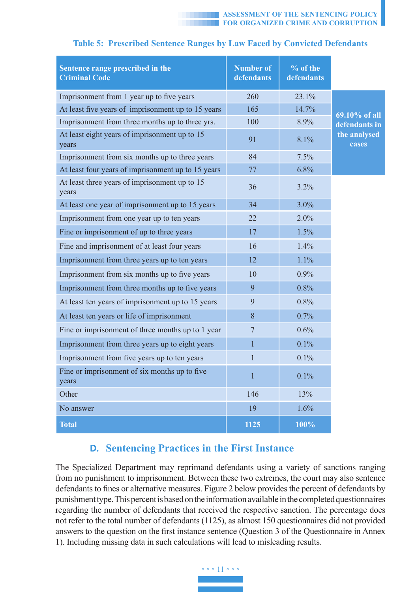| Sentence range prescribed in the<br><b>Criminal Code</b> | <b>Number of</b><br>defendants | % of the<br>defendants |                       |
|----------------------------------------------------------|--------------------------------|------------------------|-----------------------|
| Imprisonment from 1 year up to five years                | 260                            | 23.1%                  |                       |
| At least five years of imprisonment up to 15 years       | 165                            | 14.7%                  | 69.10% of all         |
| Imprisonment from three months up to three yrs.          | 100                            | 8.9%                   | defendants in         |
| At least eight years of imprisonment up to 15<br>years   | 91                             | 8.1%                   | the analysed<br>cases |
| Imprisonment from six months up to three years           | 84                             | 7.5%                   |                       |
| At least four years of imprisonment up to 15 years       | 77                             | 6.8%                   |                       |
| At least three years of imprisonment up to 15<br>years   | 36                             | 3.2%                   |                       |
| At least one year of imprisonment up to 15 years         | 34                             | 3.0%                   |                       |
| Imprisonment from one year up to ten years               | 22                             | 2.0%                   |                       |
| Fine or imprisonment of up to three years                | 17                             | 1.5%                   |                       |
| Fine and imprisonment of at least four years             | 16                             | 1.4%                   |                       |
| Imprisonment from three years up to ten years            | 12                             | 1.1%                   |                       |
| Imprisonment from six months up to five years            | 10                             | 0.9%                   |                       |
| Imprisonment from three months up to five years          | 9                              | 0.8%                   |                       |
| At least ten years of imprisonment up to 15 years        | 9                              | 0.8%                   |                       |
| At least ten years or life of imprisonment               | 8                              | 0.7%                   |                       |
| Fine or imprisonment of three months up to 1 year        | $\overline{7}$                 | 0.6%                   |                       |
| Imprisonment from three years up to eight years          | $\mathbf{1}$                   | 0.1%                   |                       |
| Imprisonment from five years up to ten years             | $\mathbf{1}$                   | 0.1%                   |                       |
| Fine or imprisonment of six months up to five<br>years   | $\mathbf{1}$                   | 0.1%                   |                       |
| Other                                                    | 146                            | 13%                    |                       |
| No answer                                                | 19                             | 1.6%                   |                       |
| <b>Total</b>                                             | 1125                           | 100%                   |                       |

## **Table 5: Prescribed Sentence Ranges by Law Faced by Convicted Defendants**

# **D. Sentencing Practices in the First Instance**

The Specialized Department may reprimand defendants using a variety of sanctions ranging from no punishment to imprisonment. Between these two extremes, the court may also sentence defendants to fines or alternative measures. Figure 2 below provides the percent of defendants by punishment type. This percent is based on the information available in the completed questionnaires regarding the number of defendants that received the respective sanction. The percentage does not refer to the total number of defendants (1125), as almost 150 questionnaires did not provided answers to the question on the first instance sentence (Question 3 of the Questionnaire in Annex 1). Including missing data in such calculations will lead to misleading results.

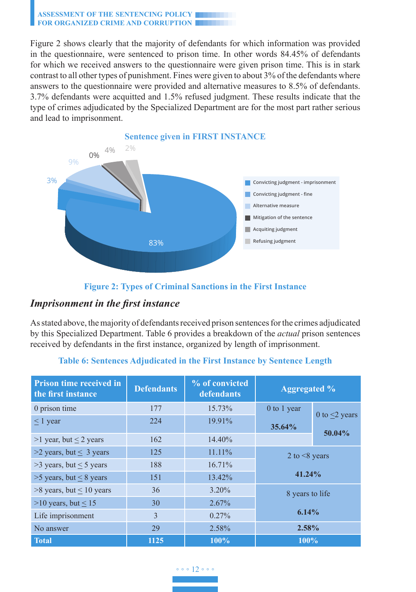Figure 2 shows clearly that the majority of defendants for which information was provided in the questionnaire, were sentenced to prison time. In other words 84.45% of defendants for which we received answers to the questionnaire were given prison time. This is in stark contrast to all other types of punishment. Fines were given to about 3% of the defendants where answers to the questionnaire were provided and alternative measures to 8.5% of defendants. 3.7% defendants were acquitted and 1.5% refused judgment. These results indicate that the type of crimes adjudicated by the Specialized Department are for the most part rather serious and lead to imprisonment.



### **Figure 2: Types of Criminal Sanctions in the First Instance**

## *Imprisonment in the first instance*

As stated above, the majority of defendants received prison sentences for the crimes adjudicated by this Specialized Department. Table 6 provides a breakdown of the *actual* prison sentences received by defendants in the first instance, organized by length of imprisonment.

| <b>Prison time received in</b><br>the first instance | <b>Defendants</b> | % of convicted<br>defendants | <b>Aggregated %</b> |                                |
|------------------------------------------------------|-------------------|------------------------------|---------------------|--------------------------------|
| 0 prison time                                        | 177               | 15.73%                       | $0$ to 1 year       |                                |
| $\leq 1$ year                                        | 224               | 19.91%                       | 35.64%              | 0 to $\leq$ years<br>$50.04\%$ |
| $>1$ year, but $\leq 2$ years                        | 162               | 14.40%                       |                     |                                |
| $>2$ years, but $\leq 3$ years                       | 125               | 11.11%                       | 2 to $\leq$ 8 years |                                |
| $>3$ years, but $\leq 5$ years                       | 188               | 16.71%                       |                     |                                |
| $>5$ years, but $\leq 8$ years                       | 151               | 13.42%                       | 41.24%              |                                |
| $>8$ years, but $\leq 10$ years                      | 36                | $3.20\%$                     | 8 years to life     |                                |
| $>10$ years, but < 15                                | 30                | 2.67%                        |                     |                                |
| Life imprisonment                                    | 3                 | $0.27\%$                     | 6.14%               |                                |
| No answer                                            | 29                | 2.58%                        | 2.58%               |                                |
| Total                                                | 1125              | 100%                         | 100%                |                                |

#### **Table 6: Sentences Adjudicated in the First Instance by Sentence Length**

## ◦ ◦ ◦ 12 ◦ ◦ ◦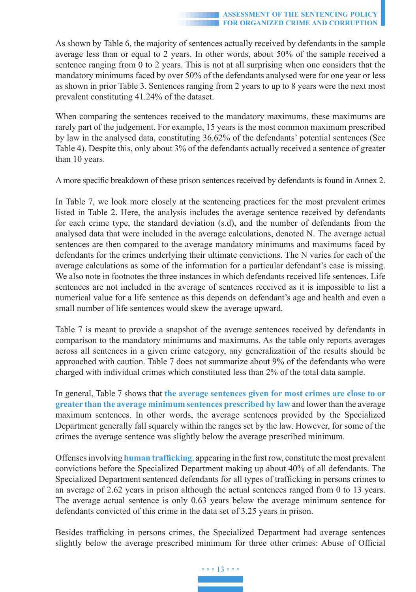As shown by Table 6, the majority of sentences actually received by defendants in the sample average less than or equal to 2 years. In other words, about 50% of the sample received a sentence ranging from 0 to 2 years. This is not at all surprising when one considers that the mandatory minimums faced by over 50% of the defendants analysed were for one year or less as shown in prior Table 3. Sentences ranging from 2 years to up to 8 years were the next most prevalent constituting 41.24% of the dataset.

When comparing the sentences received to the mandatory maximums, these maximums are rarely part of the judgement. For example, 15 years is the most common maximum prescribed by law in the analysed data, constituting 36.62% of the defendants' potential sentences (See Table 4). Despite this, only about 3% of the defendants actually received a sentence of greater than 10 years.

A more specific breakdown of these prison sentences received by defendants is found in Annex 2.

In Table 7, we look more closely at the sentencing practices for the most prevalent crimes listed in Table 2. Here, the analysis includes the average sentence received by defendants for each crime type, the standard deviation (s.d), and the number of defendants from the analysed data that were included in the average calculations, denoted N. The average actual sentences are then compared to the average mandatory minimums and maximums faced by defendants for the crimes underlying their ultimate convictions. The N varies for each of the average calculations as some of the information for a particular defendant's case is missing. We also note in footnotes the three instances in which defendants received life sentences. Life sentences are not included in the average of sentences received as it is impossible to list a numerical value for a life sentence as this depends on defendant's age and health and even a small number of life sentences would skew the average upward.

Table 7 is meant to provide a snapshot of the average sentences received by defendants in comparison to the mandatory minimums and maximums. As the table only reports averages across all sentences in a given crime category, any generalization of the results should be approached with caution. Table 7 does not summarize about 9% of the defendants who were charged with individual crimes which constituted less than 2% of the total data sample.

In general, Table 7 shows that **the average sentences given for most crimes are close to or greater than the average minimum sentences prescribed by law** and lower than the average maximum sentences. In other words, the average sentences provided by the Specialized Department generally fall squarely within the ranges set by the law. However, for some of the crimes the average sentence was slightly below the average prescribed minimum.

Offenses involving **human trafficking**, appearing in the first row, constitute the most prevalent convictions before the Specialized Department making up about 40% of all defendants. The Specialized Department sentenced defendants for all types of trafficking in persons crimes to an average of 2.62 years in prison although the actual sentences ranged from 0 to 13 years. The average actual sentence is only 0.63 years below the average minimum sentence for defendants convicted of this crime in the data set of 3.25 years in prison.

Besides trafficking in persons crimes, the Specialized Department had average sentences slightly below the average prescribed minimum for three other crimes: Abuse of Official

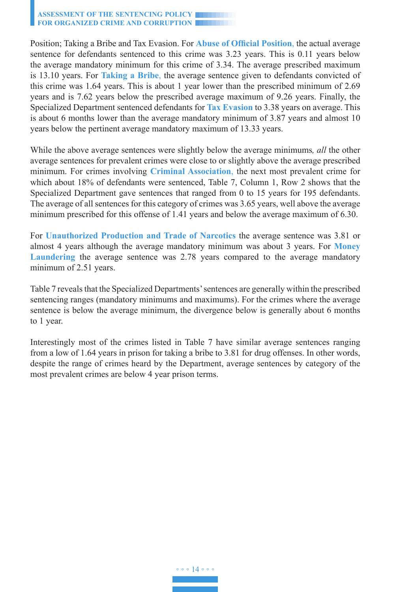Position; Taking a Bribe and Tax Evasion. For **Abuse of Official Position**, the actual average sentence for defendants sentenced to this crime was 3.23 years. This is 0.11 years below the average mandatory minimum for this crime of 3.34. The average prescribed maximum is 13.10 years. For **Taking a Bribe**, the average sentence given to defendants convicted of this crime was 1.64 years. This is about 1 year lower than the prescribed minimum of 2.69 years and is 7.62 years below the prescribed average maximum of 9.26 years. Finally, the Specialized Department sentenced defendants for **Tax Evasion** to 3.38 years on average. This is about 6 months lower than the average mandatory minimum of 3.87 years and almost 10 years below the pertinent average mandatory maximum of 13.33 years.

While the above average sentences were slightly below the average minimums*, all* the other average sentences for prevalent crimes were close to or slightly above the average prescribed minimum. For crimes involving **Criminal Association**, the next most prevalent crime for which about 18% of defendants were sentenced, Table 7, Column 1, Row 2 shows that the Specialized Department gave sentences that ranged from 0 to 15 years for 195 defendants. The average of all sentences for this category of crimes was 3.65 years, well above the average minimum prescribed for this offense of 1.41 years and below the average maximum of 6.30.

For **Unauthorized Production and Trade of Narcotics** the average sentence was 3.81 or almost 4 years although the average mandatory minimum was about 3 years. For **Money Laundering** the average sentence was 2.78 years compared to the average mandatory minimum of 2.51 years.

Table 7 reveals that the Specialized Departments' sentences are generally within the prescribed sentencing ranges (mandatory minimums and maximums). For the crimes where the average sentence is below the average minimum, the divergence below is generally about 6 months to 1 year.

Interestingly most of the crimes listed in Table 7 have similar average sentences ranging from a low of 1.64 years in prison for taking a bribe to 3.81 for drug offenses. In other words, despite the range of crimes heard by the Department, average sentences by category of the most prevalent crimes are below 4 year prison terms.

◦ ◦ ◦ 14 ◦ ◦ ◦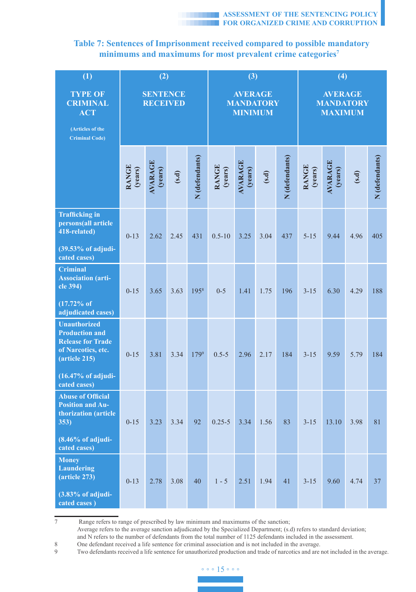## **Table 7: Sentences of Imprisonment received compared to possible mandatory**  minimums and maximums for most prevalent crime categories<sup>7</sup>

| (1)                                                                                                                                                       | (2)                                |                    |       | (3)                                                  |                  |                    | (4)                                                  |                |                  |                           |       |                |
|-----------------------------------------------------------------------------------------------------------------------------------------------------------|------------------------------------|--------------------|-------|------------------------------------------------------|------------------|--------------------|------------------------------------------------------|----------------|------------------|---------------------------|-------|----------------|
| <b>TYPE OF</b><br><b>CRIMINAL</b><br><b>ACT</b>                                                                                                           | <b>SENTENCE</b><br><b>RECEIVED</b> |                    |       | <b>AVERAGE</b><br><b>MANDATORY</b><br><b>MINIMUM</b> |                  |                    | <b>AVERAGE</b><br><b>MANDATORY</b><br><b>MAXIMUM</b> |                |                  |                           |       |                |
| (Articles of the<br><b>Criminal Code)</b>                                                                                                                 |                                    |                    |       |                                                      |                  |                    |                                                      |                |                  |                           |       |                |
|                                                                                                                                                           | RANGE<br>(years)                   | AVARAGE<br>(years) | (s.d) | N (defendants)                                       | RANGE<br>(years) | AVARAGE<br>(years) | (s.d)                                                | N (defendants) | RANGE<br>(years) | <b>AVARAGE</b><br>(years) | (s.d) | N (defendants) |
| <b>Trafficking</b> in<br>persons(all article<br>418-related)<br>$(39.53\%$ of adjudi-                                                                     | $0 - 13$                           | 2.62               | 2.45  | 431                                                  | $0.5 - 10$       | 3.25               | 3.04                                                 | 437            | $5 - 15$         | 9.44                      | 4.96  | 405            |
| cated cases)<br>Criminal                                                                                                                                  |                                    |                    |       |                                                      |                  |                    |                                                      |                |                  |                           |       |                |
| <b>Association (arti-</b><br>cle 394)                                                                                                                     | $0 - 15$                           | 3.65               | 3.63  | 1958                                                 | $0 - 5$          | 1.41               | 1.75                                                 | 196            | $3 - 15$         | 6.30                      | 4.29  | 188            |
| $(17.72\% \text{ of }$<br>adjudicated cases)                                                                                                              |                                    |                    |       |                                                      |                  |                    |                                                      |                |                  |                           |       |                |
| <b>Unauthorized</b><br><b>Production and</b><br><b>Release for Trade</b><br>of Narcotics, etc.<br>$(\text{article } 215)$<br>$(16.47\% \text{ of adjudi-$ | $0 - 15$                           | 3.81               | 3.34  | 1799                                                 | $0.5 - 5$        | 2.96               | 2.17                                                 | 184            | $3 - 15$         | 9.59                      | 5.79  | 184            |
| cated cases)<br><b>Abuse of Official</b>                                                                                                                  |                                    |                    |       |                                                      |                  |                    |                                                      |                |                  |                           |       |                |
| <b>Position and Au-</b><br>thorization (article<br>353)<br>$(8.46\%$ of adjudi-                                                                           | $0 - 15$                           | 3.23               | 3.34  | 92                                                   | $0.25 - 5$       | 3.34               | 1.56                                                 | 83             | $3 - 15$         | 13.10                     | 3.98  | 81             |
| cated cases)<br><b>Money</b>                                                                                                                              |                                    |                    |       |                                                      |                  |                    |                                                      |                |                  |                           |       |                |
| <b>Laundering</b><br>$(\text{article } 273)$                                                                                                              | $0 - 13$                           | 2.78               | 3.08  | 40                                                   | $1 - 5$          | 2.51               | 1.94                                                 | 41             | $3 - 15$         | 9.60                      | 4.74  | 37             |
| $(3.83\%$ of adjudi-<br>cated cases)                                                                                                                      |                                    |                    |       |                                                      |                  |                    |                                                      |                |                  |                           |       |                |

7 Range refers to range of prescribed by law minimum and maximums of the sanction;

Average refers to the average sanction adjudicated by the Specialized Department; (s.d) refers to standard deviation; and N refers to the number of defendants from the total number of 1125 defendants included in the assessment.

8 One defendant received a life sentence for criminal association and is not included in the average.<br>9 Two defendants received a life sentence for unauthorized production and trade of narcotics and are

Two defendants received a life sentence for unauthorized production and trade of narcotics and are not included in the average.

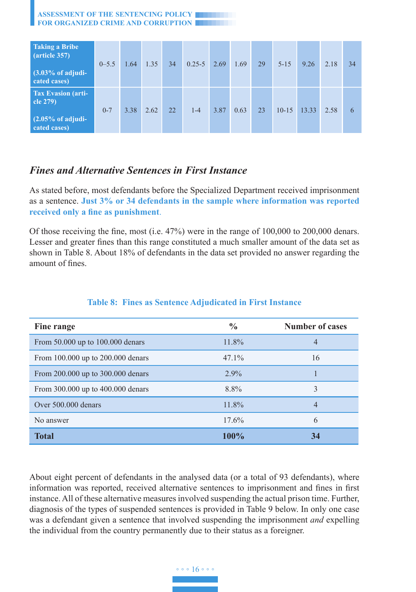| ASSESSMENT OF THE SENTENCING POLICY |  |
|-------------------------------------|--|
| FOR ORGANIZED CRIME AND CORRUPTION  |  |

| Taking a Bribe<br>$\arctan 357$<br>$(3.03\% \text{ of adj}$<br>cated cases)            | $0 - 5.5$ | 1.64 | 1.35 | 34 | $0.25 - 5$ | 2.69 | 1.69 | 29 | $5 - 15$ | 9.26  | 2.18 | 34 |
|----------------------------------------------------------------------------------------|-----------|------|------|----|------------|------|------|----|----------|-------|------|----|
| <b>Tax Evasion (arti-</b><br>cle $279$<br>$(2.05\% \text{ of adjudi-}$<br>cated cases) | $0 - 7$   | 3.38 | 2.62 | 22 | $1 - 4$    | 3.87 | 0.63 | 23 | $10-15$  | 13.33 | 2.58 | 6  |

## *Fines and Alternative Sentences in First Instance*

As stated before, most defendants before the Specialized Department received imprisonment as a sentence. **Just 3% or 34 defendants in the sample where information was reported received only a fine as punishment**.

Of those receiving the fine, most (i.e. 47%) were in the range of 100,000 to 200,000 denars. Lesser and greater fines than this range constituted a much smaller amount of the data set as shown in Table 8. About 18% of defendants in the data set provided no answer regarding the amount of fines.

| Fine range                        | $\frac{0}{0}$ | <b>Number of cases</b> |
|-----------------------------------|---------------|------------------------|
| From 50.000 up to 100.000 denars  | 11.8%         | 4                      |
| From 100.000 up to 200.000 denars | $47.1\%$      | 16                     |
| From 200.000 up to 300.000 denars | $2.9\%$       |                        |
| From 300.000 up to 400.000 denars | 8.8%          | 3                      |
| Over 500,000 denars               | 11.8%         | 4                      |
| No answer                         | 17.6%         | 6                      |
| <b>Total</b>                      | 100%          | 34                     |

#### **Table 8: Fines as Sentence Adjudicated in First Instance**

About eight percent of defendants in the analysed data (or a total of 93 defendants), where information was reported, received alternative sentences to imprisonment and fines in first instance. All of these alternative measures involved suspending the actual prison time. Further, diagnosis of the types of suspended sentences is provided in Table 9 below. In only one case was a defendant given a sentence that involved suspending the imprisonment *and* expelling the individual from the country permanently due to their status as a foreigner.

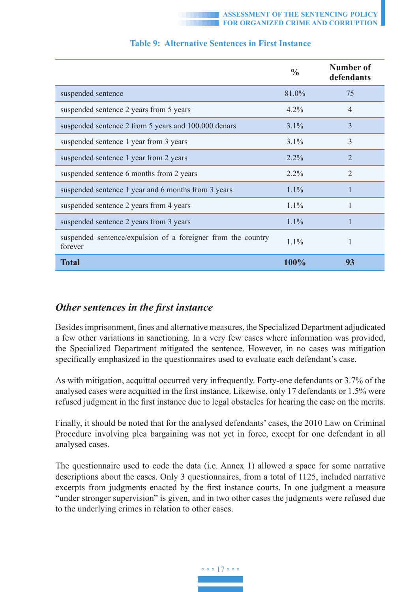|                                                                         | $\frac{6}{9}$ | Number of<br>defendants     |
|-------------------------------------------------------------------------|---------------|-----------------------------|
| suspended sentence                                                      | 81.0%         | 75                          |
| suspended sentence 2 years from 5 years                                 | $4.2\%$       | $\overline{4}$              |
| suspended sentence 2 from 5 years and 100.000 denars                    | $3.1\%$       | 3                           |
| suspended sentence 1 year from 3 years                                  | $3.1\%$       | 3                           |
| suspended sentence 1 year from 2 years                                  | $2.2\%$       | $\mathcal{D}_{\mathcal{L}}$ |
| suspended sentence 6 months from 2 years                                | $2.2\%$       | $\mathfrak{D}$              |
| suspended sentence 1 year and 6 months from 3 years                     | $1.1\%$       |                             |
| suspended sentence 2 years from 4 years                                 | $1.1\%$       |                             |
| suspended sentence 2 years from 3 years                                 | $1.1\%$       |                             |
| suspended sentence/expulsion of a foreigner from the country<br>forever | $1.1\%$       |                             |
| <b>Total</b>                                                            | 100%          | 93                          |

#### **Table 9: Alternative Sentences in First Instance**

### *Other sentences in the first instance*

Besides imprisonment, fines and alternative measures, the Specialized Department adjudicated a few other variations in sanctioning. In a very few cases where information was provided, the Specialized Department mitigated the sentence. However, in no cases was mitigation specifically emphasized in the questionnaires used to evaluate each defendant's case.

As with mitigation, acquittal occurred very infrequently. Forty-one defendants or 3.7% of the analysed cases were acquitted in the first instance. Likewise, only 17 defendants or 1.5% were refused judgment in the first instance due to legal obstacles for hearing the case on the merits.

Finally, it should be noted that for the analysed defendants' cases, the 2010 Law on Criminal Procedure involving plea bargaining was not yet in force, except for one defendant in all analysed cases.

The questionnaire used to code the data (i.e. Annex 1) allowed a space for some narrative descriptions about the cases. Only 3 questionnaires, from a total of 1125, included narrative excerpts from judgments enacted by the first instance courts. In one judgment a measure "under stronger supervision" is given, and in two other cases the judgments were refused due to the underlying crimes in relation to other cases.

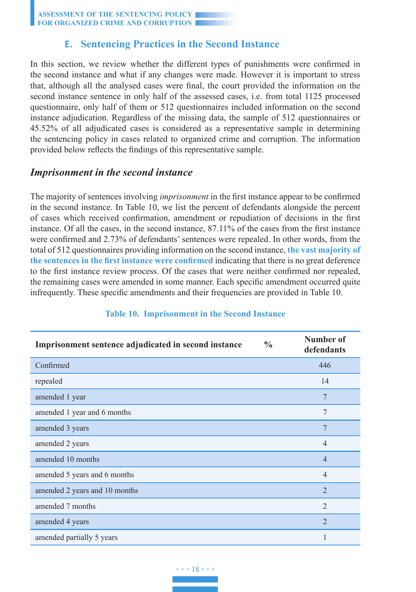## **E. Sentencing Practices in the Second Instance**

In this section, we review whether the different types of punishments were confirmed in the second instance and what if any changes were made. However it is important to stress that, although all the analysed cases were final, the court provided the information on the second instance sentence in only half of the assessed cases, i.e. from total 1125 processed questionnaire, only half of them or 512 questionnaires included information on the second instance adjudication. Regardless of the missing data, the sample of 512 questionnaires or 45.52% of all adjudicated cases is considered as a representative sample in determining the sentencing policy in cases related to organized crime and corruption. The information provided below reflects the findings of this representative sample.

### *Imprisonment in the second instance*

The majority of sentences involving *imprisonment* in the first instance appear to be confirmed in the second instance. In Table 10, we list the percent of defendants alongside the percent of cases which received confirmation, amendment or repudiation of decisions in the first instance. Of all the cases, in the second instance, 87.11% of the cases from the first instance were confirmed and 2.73% of defendants' sentences were repealed. In other words, from the total of 512 questionnaires providing information on the second instance, **the vast majority of the sentences in the first instance were confirmed** indicating that there is no great deference to the first instance review process. Of the cases that were neither confirmed nor repealed, the remaining cases were amended in some manner. Each specific amendment occurred quite infrequently. These specific amendments and their frequencies are provided in Table 10.

| Imprisonment sentence adjudicated in second instance | $\frac{0}{0}$ | Number of<br>defendants |
|------------------------------------------------------|---------------|-------------------------|
| Confirmed                                            |               | 446                     |
| repealed                                             |               | 14                      |
| amended 1 year                                       |               | $\overline{7}$          |
| amended 1 year and 6 months                          |               | $\overline{7}$          |
| amended 3 years                                      |               | $\overline{7}$          |
| amended 2 years                                      |               | $\overline{4}$          |
| amended 10 months                                    |               | $\overline{4}$          |
| amended 5 years and 6 months                         |               | $\overline{4}$          |
| amended 2 years and 10 months                        |               | $\overline{2}$          |
| amended 7 months                                     |               | $\overline{2}$          |
| amended 4 years                                      |               | $\mathfrak{D}$          |
| amended partially 5 years                            |               | 1                       |

#### **Table 10. Imprisonment in the Second Instance**

#### ◦ ◦ ◦ 18 ◦ ◦ ◦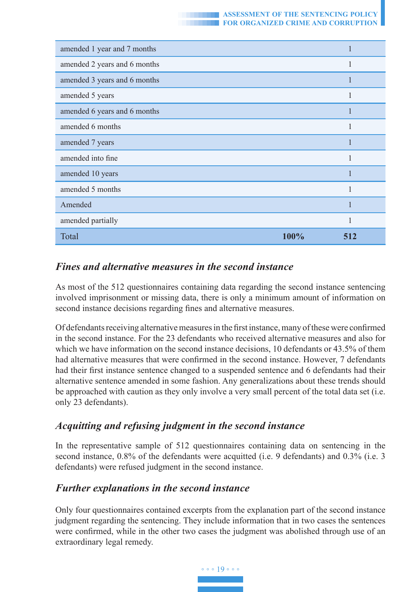

| amended 1 year and 7 months  |      |     |
|------------------------------|------|-----|
| amended 2 years and 6 months |      |     |
| amended 3 years and 6 months |      |     |
| amended 5 years              |      | 1   |
| amended 6 years and 6 months |      |     |
| amended 6 months             |      |     |
| amended 7 years              |      |     |
| amended into fine            |      |     |
| amended 10 years             |      |     |
| amended 5 months             |      | 1   |
| Amended                      |      | 1   |
| amended partially            |      | 1   |
| Total                        | 100% | 512 |

# *Fines and alternative measures in the second instance*

As most of the 512 questionnaires containing data regarding the second instance sentencing involved imprisonment or missing data, there is only a minimum amount of information on second instance decisions regarding fines and alternative measures.

Of defendants receiving alternative measures in the first instance, many of these were confirmed in the second instance. For the 23 defendants who received alternative measures and also for which we have information on the second instance decisions, 10 defendants or 43.5% of them had alternative measures that were confirmed in the second instance. However, 7 defendants had their first instance sentence changed to a suspended sentence and 6 defendants had their alternative sentence amended in some fashion. Any generalizations about these trends should be approached with caution as they only involve a very small percent of the total data set (i.e. only 23 defendants).

## *Acquitting and refusing judgment in the second instance*

In the representative sample of 512 questionnaires containing data on sentencing in the second instance, 0.8% of the defendants were acquitted (i.e. 9 defendants) and 0.3% (i.e. 3 defendants) were refused judgment in the second instance.

# *Further explanations in the second instance*

Only four questionnaires contained excerpts from the explanation part of the second instance judgment regarding the sentencing. They include information that in two cases the sentences were confirmed, while in the other two cases the judgment was abolished through use of an extraordinary legal remedy.

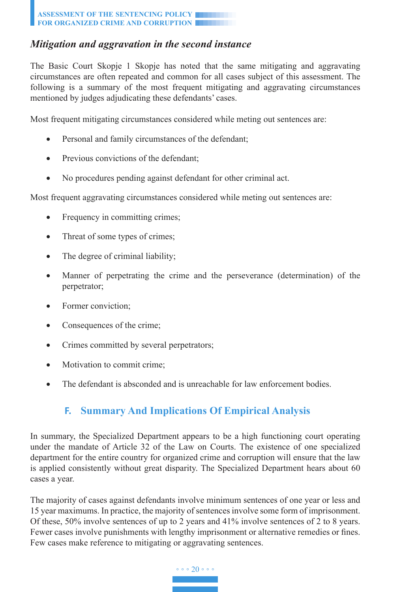# *Mitigation and aggravation in the second instance*

The Basic Court Skopje 1 Skopje has noted that the same mitigating and aggravating circumstances are often repeated and common for all cases subject of this assessment. The following is a summary of the most frequent mitigating and aggravating circumstances mentioned by judges adjudicating these defendants' cases.

Most frequent mitigating circumstances considered while meting out sentences are:

- Personal and family circumstances of the defendant;
- Previous convictions of the defendant:
- No procedures pending against defendant for other criminal act.

Most frequent aggravating circumstances considered while meting out sentences are:

- Frequency in committing crimes;
- Threat of some types of crimes;
- The degree of criminal liability;
- Manner of perpetrating the crime and the perseverance (determination) of the perpetrator;
- Former conviction;
- Consequences of the crime;
- Crimes committed by several perpetrators;
- Motivation to commit crime;
- The defendant is absconded and is unreachable for law enforcement bodies.

# **F. Summary And Implications Of Empirical Analysis**

In summary, the Specialized Department appears to be a high functioning court operating under the mandate of Article 32 of the Law on Courts. The existence of one specialized department for the entire country for organized crime and corruption will ensure that the law is applied consistently without great disparity. The Specialized Department hears about 60 cases a year.

The majority of cases against defendants involve minimum sentences of one year or less and 15 year maximums. In practice, the majority of sentences involve some form of imprisonment. Of these, 50% involve sentences of up to 2 years and 41% involve sentences of 2 to 8 years. Fewer cases involve punishments with lengthy imprisonment or alternative remedies or fines. Few cases make reference to mitigating or aggravating sentences.

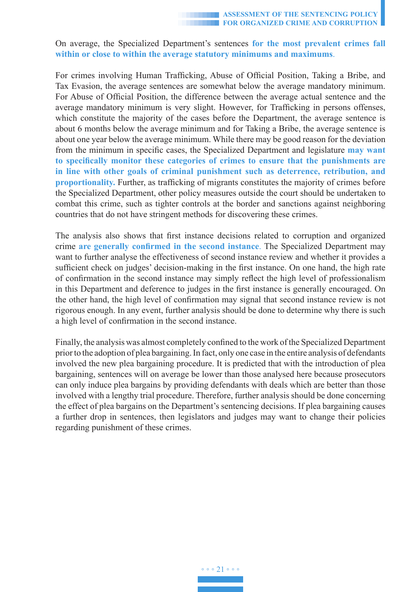On average, the Specialized Department's sentences **for the most prevalent crimes fall within or close to within the average statutory minimums and maximums**.

For crimes involving Human Trafficking, Abuse of Official Position, Taking a Bribe, and Tax Evasion, the average sentences are somewhat below the average mandatory minimum. For Abuse of Official Position, the difference between the average actual sentence and the average mandatory minimum is very slight. However, for Trafficking in persons offenses, which constitute the majority of the cases before the Department, the average sentence is about 6 months below the average minimum and for Taking a Bribe, the average sentence is about one year below the average minimum. While there may be good reason for the deviation from the minimum in specific cases, the Specialized Department and legislature **may want to specifically monitor these categories of crimes to ensure that the punishments are in line with other goals of criminal punishment such as deterrence, retribution, and proportionality.** Further, as trafficking of migrants constitutes the majority of crimes before the Specialized Department, other policy measures outside the court should be undertaken to combat this crime, such as tighter controls at the border and sanctions against neighboring countries that do not have stringent methods for discovering these crimes.

The analysis also shows that first instance decisions related to corruption and organized crime **are generally confirmed in the second instance**. The Specialized Department may want to further analyse the effectiveness of second instance review and whether it provides a sufficient check on judges' decision-making in the first instance. On one hand, the high rate of confirmation in the second instance may simply reflect the high level of professionalism in this Department and deference to judges in the first instance is generally encouraged. On the other hand, the high level of confirmation may signal that second instance review is not rigorous enough. In any event, further analysis should be done to determine why there is such a high level of confirmation in the second instance.

Finally, the analysis was almost completely confined to the work of the Specialized Department prior to the adoption of plea bargaining. In fact, only one case in the entire analysis of defendants involved the new plea bargaining procedure. It is predicted that with the introduction of plea bargaining, sentences will on average be lower than those analysed here because prosecutors can only induce plea bargains by providing defendants with deals which are better than those involved with a lengthy trial procedure. Therefore, further analysis should be done concerning the effect of plea bargains on the Department's sentencing decisions. If plea bargaining causes a further drop in sentences, then legislators and judges may want to change their policies regarding punishment of these crimes.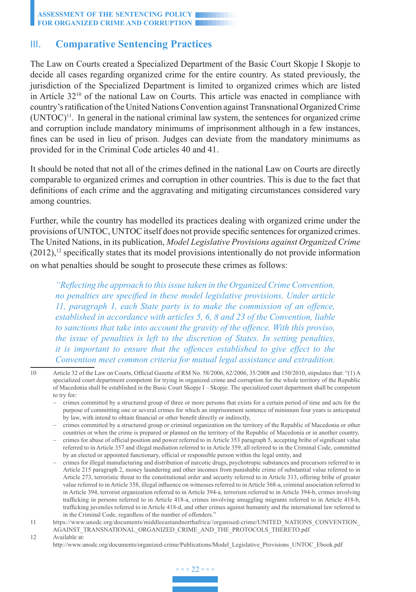### III. **Comparative Sentencing Practices**

The Law on Courts created a Specialized Department of the Basic Court Skopje I Skopje to decide all cases regarding organized crime for the entire country. As stated previously, the jurisdiction of the Specialized Department is limited to organized crimes which are listed in Article 3210 of the national Law on Courts. This article was enacted in compliance with country's ratification of the United Nations Convention against Transnational Organized Crime  $(UNTOC)^{11}$ . In general in the national criminal law system, the sentences for organized crime and corruption include mandatory minimums of imprisonment although in a few instances, fines can be used in lieu of prison. Judges can deviate from the mandatory minimums as provided for in the Criminal Code articles 40 and 41.

It should be noted that not all of the crimes defined in the national Law on Courts are directly comparable to organized crimes and corruption in other countries. This is due to the fact that definitions of each crime and the aggravating and mitigating circumstances considered vary among countries.

Further, while the country has modelled its practices dealing with organized crime under the provisions of UNTOC, UNTOC itself does not provide specific sentences for organized crimes. The United Nations, in its publication, *Model Legislative Provisions against Organized Crime*  $(2012)$ ,<sup>12</sup> specifically states that its model provisions intentionally do not provide information on what penalties should be sought to prosecute these crimes as follows:

*"Reflecting the approach to this issue taken in the Organized Crime Convention, no penalties are specified in these model legislative provisions. Under article 11, paragraph 1, each State party is to make the commission of an offence, established in accordance with articles 5, 6, 8 and 23 of the Convention, liable to sanctions that take into account the gravity of the offence. With this proviso, the issue of penalties is left to the discretion of States. In setting penalties, it is important to ensure that the offences established to give effect to the Convention meet common criteria for mutual legal assistance and extradition.* 

12 Available at:

http://www.unodc.org/documents/organized-crime/Publications/Model\_Legislative\_Provisions\_UNTOC\_Ebook.pdf



<sup>10</sup> Article 32 of the Law on Courts, Official Gazette of RM No. 58/2006, 62/2006, 35/2008 and 150/2010, stipulates that: "(1) A specialized court department competent for trying in organized crime and corruption for the whole territory of the Republic of Macedonia shall be established in the Basic Court Skopje I – Skopje. The specialized court department shall be competent to try for:

<sup>−</sup>  crimes committed by a structured group of three or more persons that exists for a certain period of time and acts for the purpose of committing one or several crimes for which an imprisonment sentence of minimum four years is anticipated by law, with intend to obtain financial or other benefit directly or indirectly,

<sup>−</sup>  crimes committed by a structured group or criminal organization on the territory of the Republic of Macedonia or other countries or when the crime is prepared or planned on the territory of the Republic of Macedonia or in another country,

<sup>−</sup>  crimes for abuse of official position and power referred to in Article 353 paragraph 5, accepting bribe of significant value referred to in Article 357 and illegal mediation referred to in Article 359, all referred to in the Criminal Code, committed by an elected or appointed functionary, official or responsible person within the legal entity, and

<sup>−</sup>  crimes for illegal manufacturing and distribution of narcotic drugs, psychotropic substances and precursors referred to in Article 215 paragraph 2, money laundering and other incomes from punishable crime of substantial value referred to in Article 273, terroristic threat to the constitutional order and security referred to in Article 313, offering bribe of greater value referred to in Article 358, illegal influence on witnesses referred to in Article 368-a, criminal association referred to in Article 394, terrorist organization referred to in Article 394-a, terrorism referred to in Article 394-b, crimes involving trafficking in persons referred to in Article 418-a, crimes involving smuggling migrants referred to in Article 418-b, trafficking juveniles referred to in Article 418-d, and other crimes against humanity and the international law referred to in the Criminal Code, regardless of the number of offenders."

<sup>11</sup> https://www.unodc.org/documents/middleeastandnorthafrica//organised-crime/UNITED\_NATIONS\_CONVENTION\_ AGAINST\_TRANSNATIONAL\_ORGANIZED\_CRIME\_AND\_THE\_PROTOCOLS\_THERETO.pdf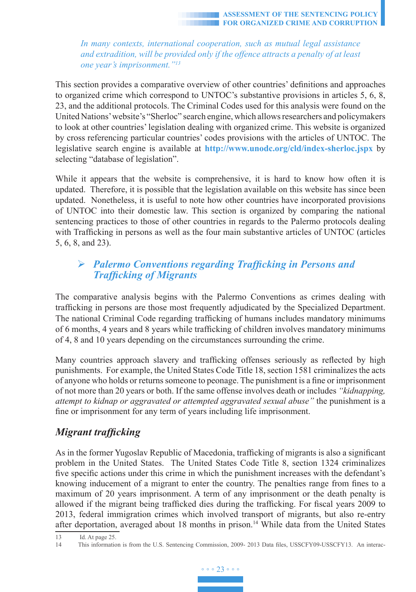*In many contexts, international cooperation, such as mutual legal assistance and extradition, will be provided only if the offence attracts a penalty of at least one year's imprisonment."<sup>13</sup>*

This section provides a comparative overview of other countries' definitions and approaches to organized crime which correspond to UNTOC's substantive provisions in articles 5, 6, 8, 23, and the additional protocols. The Criminal Codes used for this analysis were found on the United Nations' website's "Sherloc" search engine, which allows researchers and policymakers to look at other countries' legislation dealing with organized crime. This website is organized by cross referencing particular countries' codes provisions with the articles of UNTOC. The legislative search engine is available at **http://www.unodc.org/cld/index-sherloc.jspx** by selecting "database of legislation".

While it appears that the website is comprehensive, it is hard to know how often it is updated. Therefore, it is possible that the legislation available on this website has since been updated. Nonetheless, it is useful to note how other countries have incorporated provisions of UNTOC into their domestic law. This section is organized by comparing the national sentencing practices to those of other countries in regards to the Palermo protocols dealing with Trafficking in persons as well as the four main substantive articles of UNTOC (articles 5, 6, 8, and 23).

# *Palermo Conventions regarding Trafficking in Persons and Trafficking of Migrants*

The comparative analysis begins with the Palermo Conventions as crimes dealing with trafficking in persons are those most frequently adjudicated by the Specialized Department. The national Criminal Code regarding trafficking of humans includes mandatory minimums of 6 months, 4 years and 8 years while trafficking of children involves mandatory minimums of 4, 8 and 10 years depending on the circumstances surrounding the crime.

Many countries approach slavery and trafficking offenses seriously as reflected by high punishments. For example, the United States Code Title 18, section 1581 criminalizes the acts of anyone who holds or returns someone to peonage. The punishment is a fine or imprisonment of not more than 20 years or both. If the same offense involves death or includes *"kidnapping, attempt to kidnap or aggravated or attempted aggravated sexual abuse"* the punishment is a fine or imprisonment for any term of years including life imprisonment.

# *Migrant trafficking*

As in the former Yugoslav Republic of Macedonia, trafficking of migrants is also a significant problem in the United States. The United States Code Title 8, section 1324 criminalizes five specific actions under this crime in which the punishment increases with the defendant's knowing inducement of a migrant to enter the country. The penalties range from fines to a maximum of 20 years imprisonment. A term of any imprisonment or the death penalty is allowed if the migrant being trafficked dies during the trafficking. For fiscal years 2009 to 2013, federal immigration crimes which involved transport of migrants, but also re-entry after deportation, averaged about 18 months in prison.<sup>14</sup> While data from the United States

<sup>14</sup> This information is from the U.S. Sentencing Commission, 2009- 2013 Data files, USSCFY09-USSCFY13. An interac-



<sup>13</sup> Id. At page 25.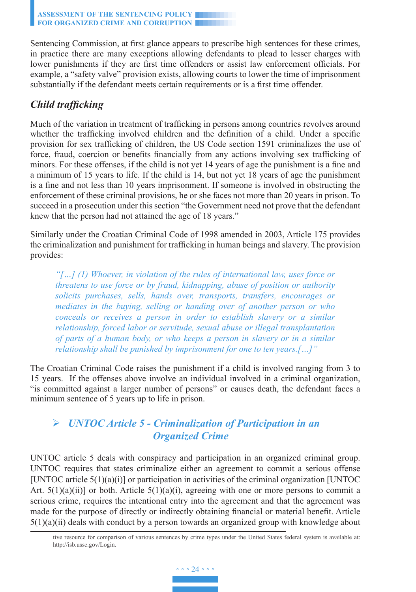Sentencing Commission, at first glance appears to prescribe high sentences for these crimes, in practice there are many exceptions allowing defendants to plead to lesser charges with lower punishments if they are first time offenders or assist law enforcement officials. For example, a "safety valve" provision exists, allowing courts to lower the time of imprisonment substantially if the defendant meets certain requirements or is a first time offender.

# *Child trafficking*

Much of the variation in treatment of trafficking in persons among countries revolves around whether the trafficking involved children and the definition of a child. Under a specific provision for sex trafficking of children, the US Code section 1591 criminalizes the use of force, fraud, coercion or benefits financially from any actions involving sex trafficking of minors. For these offenses, if the child is not yet 14 years of age the punishment is a fine and a minimum of 15 years to life. If the child is 14, but not yet 18 years of age the punishment is a fine and not less than 10 years imprisonment. If someone is involved in obstructing the enforcement of these criminal provisions, he or she faces not more than 20 years in prison. To succeed in a prosecution under this section "the Government need not prove that the defendant knew that the person had not attained the age of 18 years."

Similarly under the Croatian Criminal Code of 1998 amended in 2003, Article 175 provides the criminalization and punishment for trafficking in human beings and slavery. The provision provides:

*"[…] (1) Whoever, in violation of the rules of international law, uses force or threatens to use force or by fraud, kidnapping, abuse of position or authority solicits purchases, sells, hands over, transports, transfers, encourages or mediates in the buying, selling or handing over of another person or who conceals or receives a person in order to establish slavery or a similar relationship, forced labor or servitude, sexual abuse or illegal transplantation of parts of a human body, or who keeps a person in slavery or in a similar relationship shall be punished by imprisonment for one to ten years.[…]"* 

The Croatian Criminal Code raises the punishment if a child is involved ranging from 3 to 15 years. If the offenses above involve an individual involved in a criminal organization, "is committed against a larger number of persons" or causes death, the defendant faces a minimum sentence of 5 years up to life in prison.

# *UNTOC Article 5 - Criminalization of Participation in an Organized Crime*

UNTOC article 5 deals with conspiracy and participation in an organized criminal group. UNTOC requires that states criminalize either an agreement to commit a serious offense [UNTOC article  $5(1)(a)(i)$ ] or participation in activities of the criminal organization [UNTOC Art.  $5(1)(a)(ii)$ ] or both. Article  $5(1)(a)(i)$ , agreeing with one or more persons to commit a serious crime, requires the intentional entry into the agreement and that the agreement was made for the purpose of directly or indirectly obtaining financial or material benefit. Article  $5(1)(a)(ii)$  deals with conduct by a person towards an organized group with knowledge about

tive resource for comparison of various sentences by crime types under the United States federal system is available at: http://isb.ussc.gov/Login.

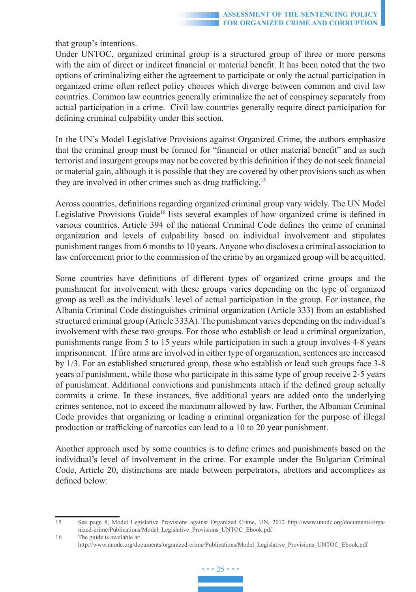that group's intentions.

Under UNTOC, organized criminal group is a structured group of three or more persons with the aim of direct or indirect financial or material benefit. It has been noted that the two options of criminalizing either the agreement to participate or only the actual participation in organized crime often reflect policy choices which diverge between common and civil law countries. Common law countries generally criminalize the act of conspiracy separately from actual participation in a crime. Civil law countries generally require direct participation for defining criminal culpability under this section.

In the UN's Model Legislative Provisions against Organized Crime, the authors emphasize that the criminal group must be formed for "financial or other material benefit" and as such terrorist and insurgent groups may not be covered by this definition if they do not seek financial or material gain, although it is possible that they are covered by other provisions such as when they are involved in other crimes such as drug trafficking.<sup>15</sup>

Across countries, definitions regarding organized criminal group vary widely. The UN Model Legislative Provisions Guide<sup>16</sup> lists several examples of how organized crime is defined in various countries. Article 394 of the national Criminal Code defines the crime of criminal organization and levels of culpability based on individual involvement and stipulates punishment ranges from 6 months to 10 years. Anyone who discloses a criminal association to law enforcement prior to the commission of the crime by an organized group will be acquitted.

Some countries have definitions of different types of organized crime groups and the punishment for involvement with these groups varies depending on the type of organized group as well as the individuals' level of actual participation in the group. For instance, the Albania Criminal Code distinguishes criminal organization (Article 333) from an established structured criminal group (Article 333A). The punishment varies depending on the individual's involvement with these two groups. For those who establish or lead a criminal organization, punishments range from 5 to 15 years while participation in such a group involves 4-8 years imprisonment. If fire arms are involved in either type of organization, sentences are increased by 1/3. For an established structured group, those who establish or lead such groups face 3-8 years of punishment, while those who participate in this same type of group receive 2-5 years of punishment. Additional convictions and punishments attach if the defined group actually commits a crime. In these instances, five additional years are added onto the underlying crimes sentence, not to exceed the maximum allowed by law. Further, the Albanian Criminal Code provides that organizing or leading a criminal organization for the purpose of illegal production or trafficking of narcotics can lead to a 10 to 20 year punishment.

Another approach used by some countries is to define crimes and punishments based on the individual's level of involvement in the crime. For example under the Bulgarian Criminal Code, Article 20, distinctions are made between perpetrators, abettors and accomplices as defined below:

<sup>16</sup> The guide is available at: http://www.unodc.org/documents/organized-crime/Publications/Model\_Legislative\_Provisions\_UNTOC\_Ebook.pdf



<sup>15</sup> See page 8, Model Legislative Provisions against Organized Crime, UN, 2012 http://www.unodc.org/documents/organized-crime/Publications/Model\_Legislative\_Provisions\_UNTOC\_Ebook.pdf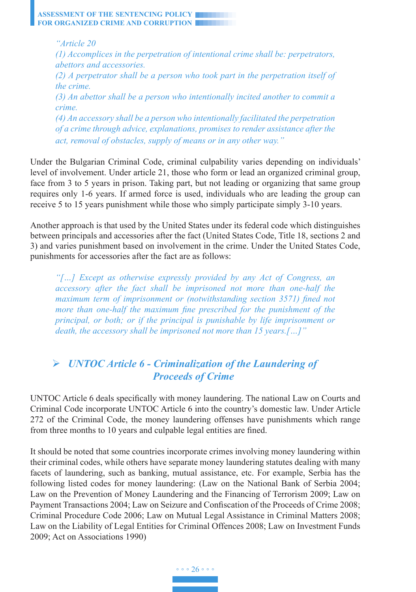*"Article 20 (1) Accomplices in the perpetration of intentional crime shall be: perpetrators, abettors and accessories. (2) A perpetrator shall be a person who took part in the perpetration itself of the crime. (3) An abettor shall be a person who intentionally incited another to commit a crime. (4) An accessory shall be a person who intentionally facilitated the perpetration of a crime through advice, explanations, promises to render assistance after the act, removal of obstacles, supply of means or in any other way."*

Under the Bulgarian Criminal Code, criminal culpability varies depending on individuals' level of involvement. Under article 21, those who form or lead an organized criminal group, face from 3 to 5 years in prison. Taking part, but not leading or organizing that same group requires only 1-6 years. If armed force is used, individuals who are leading the group can receive 5 to 15 years punishment while those who simply participate simply 3-10 years.

Another approach is that used by the United States under its federal code which distinguishes between principals and accessories after the fact (United States Code, Title 18, sections 2 and 3) and varies punishment based on involvement in the crime. Under the United States Code, punishments for accessories after the fact are as follows:

*"[…] Except as otherwise expressly provided by any Act of Congress, an accessory after the fact shall be imprisoned not more than one-half the maximum term of imprisonment or (notwithstanding section 3571) fined not more than one-half the maximum fine prescribed for the punishment of the principal, or both; or if the principal is punishable by life imprisonment or death, the accessory shall be imprisoned not more than 15 years.[…]"*

# *UNTOC Article 6 - Criminalization of the Laundering of Proceeds of Crime*

UNTOC Article 6 deals specifically with money laundering. The national Law on Courts and Criminal Code incorporate UNTOC Article 6 into the country's domestic law. Under Article 272 of the Criminal Code, the money laundering offenses have punishments which range from three months to 10 years and culpable legal entities are fined.

It should be noted that some countries incorporate crimes involving money laundering within their criminal codes, while others have separate money laundering statutes dealing with many facets of laundering, such as banking, mutual assistance, etc. For example, Serbia has the following listed codes for money laundering: (Law on the National Bank of Serbia 2004; Law on the Prevention of Money Laundering and the Financing of Terrorism 2009; Law on Payment Transactions 2004; Law on Seizure and Confiscation of the Proceeds of Crime 2008; Criminal Procedure Code 2006; Law on Mutual Legal Assistance in Criminal Matters 2008; Law on the Liability of Legal Entities for Criminal Offences 2008; Law on Investment Funds 2009; Act on Associations 1990)

◦ ◦ ◦ 26 ◦ ◦ ◦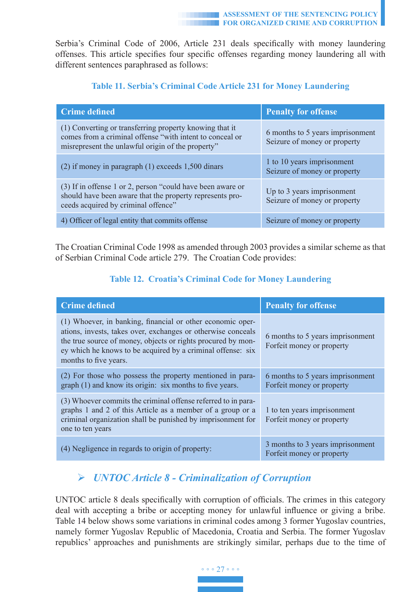Serbia's Criminal Code of 2006, Article 231 deals specifically with money laundering offenses. This article specifies four specific offenses regarding money laundering all with different sentences paraphrased as follows:

| <b>Crime defined</b>                                                                                                                                                     | <b>Penalty for offense</b>                                       |
|--------------------------------------------------------------------------------------------------------------------------------------------------------------------------|------------------------------------------------------------------|
| (1) Converting or transferring property knowing that it<br>comes from a criminal offense "with intent to conceal or<br>misrepresent the unlawful origin of the property" | 6 months to 5 years imprisonment<br>Seizure of money or property |
| $(2)$ if money in paragraph $(1)$ exceeds 1,500 dinars                                                                                                                   | 1 to 10 years imprisonment<br>Seizure of money or property       |
| (3) If in offense 1 or 2, person "could have been aware or<br>should have been aware that the property represents pro-<br>ceeds acquired by criminal offence"            | Up to 3 years imprisonment<br>Seizure of money or property       |
| 4) Officer of legal entity that commits offense                                                                                                                          | Seizure of money or property                                     |

### **Table 11. Serbia's Criminal Code Article 231 for Money Laundering**

The Croatian Criminal Code 1998 as amended through 2003 provides a similar scheme as that of Serbian Criminal Code article 279. The Croatian Code provides:

## **Table 12. Croatia's Criminal Code for Money Laundering**

| <b>Crime</b> defined                                                                                                                                                                                                                                                               | <b>Penalty for offense</b>                                    |
|------------------------------------------------------------------------------------------------------------------------------------------------------------------------------------------------------------------------------------------------------------------------------------|---------------------------------------------------------------|
| (1) Whoever, in banking, financial or other economic oper-<br>ations, invests, takes over, exchanges or otherwise conceals<br>the true source of money, objects or rights procured by mon-<br>ey which he knows to be acquired by a criminal offense: six<br>months to five years. | 6 months to 5 years imprisonment<br>Forfeit money or property |
| (2) For those who possess the property mentioned in para-<br>graph (1) and know its origin: six months to five years.                                                                                                                                                              | 6 months to 5 years imprisonment<br>Forfeit money or property |
| (3) Whoever commits the criminal offense referred to in para-<br>graphs 1 and 2 of this Article as a member of a group or a<br>criminal organization shall be punished by imprisonment for<br>one to ten years                                                                     | 1 to ten years imprisonment<br>Forfeit money or property      |
| (4) Negligence in regards to origin of property:                                                                                                                                                                                                                                   | 3 months to 3 years imprisonment<br>Forfeit money or property |

# *UNTOC Article 8 - Criminalization of Corruption*

UNTOC article 8 deals specifically with corruption of officials. The crimes in this category deal with accepting a bribe or accepting money for unlawful influence or giving a bribe. Table 14 below shows some variations in criminal codes among 3 former Yugoslav countries, namely former Yugoslav Republic of Macedonia, Croatia and Serbia. The former Yugoslav republics' approaches and punishments are strikingly similar, perhaps due to the time of

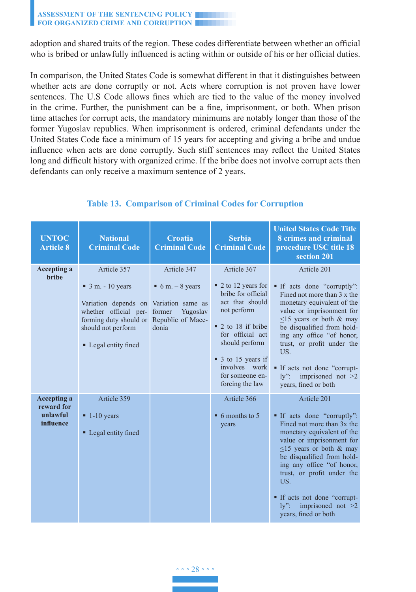adoption and shared traits of the region. These codes differentiate between whether an official who is bribed or unlawfully influenced is acting within or outside of his or her official duties.

In comparison, the United States Code is somewhat different in that it distinguishes between whether acts are done corruptly or not. Acts where corruption is not proven have lower sentences. The U.S Code allows fines which are tied to the value of the money involved in the crime. Further, the punishment can be a fine, imprisonment, or both. When prison time attaches for corrupt acts, the mandatory minimums are notably longer than those of the former Yugoslav republics. When imprisonment is ordered, criminal defendants under the United States Code face a minimum of 15 years for accepting and giving a bribe and undue influence when acts are done corruptly. Such stiff sentences may reflect the United States long and difficult history with organized crime. If the bribe does not involve corrupt acts then defendants can only receive a maximum sentence of 2 years.

| <b>UNTOC</b><br><b>Article 8</b>                          | <b>National</b><br><b>Criminal Code</b>                                                                                                                                | <b>Croatia</b><br><b>Criminal Code</b>                                                                           | <b>Serbia</b><br><b>Criminal Code</b>                                                                                                                                                                                                       | <b>United States Code Title</b><br>8 crimes and criminal<br>procedure USC title 18<br>section 201                                                                                                                                                                                                                                                                    |
|-----------------------------------------------------------|------------------------------------------------------------------------------------------------------------------------------------------------------------------------|------------------------------------------------------------------------------------------------------------------|---------------------------------------------------------------------------------------------------------------------------------------------------------------------------------------------------------------------------------------------|----------------------------------------------------------------------------------------------------------------------------------------------------------------------------------------------------------------------------------------------------------------------------------------------------------------------------------------------------------------------|
| <b>Accepting a</b><br><b>bribe</b>                        | Article 357<br>$\blacksquare$ 3 m. - 10 years<br>Variation depends on<br>whether official per-<br>forming duty should or<br>should not perform<br>• Legal entity fined | Article 347<br>$\bullet$ 6 m. – 8 years<br>Variation same as<br>former<br>Yugoslav<br>Republic of Mace-<br>donia | Article 367<br>$\bullet$ 2 to 12 years for<br>bribe for official<br>act that should<br>not perform<br>■ 2 to 18 if bribe<br>for official act<br>should perform<br>■ 3 to 15 years if<br>involves work<br>for someone en-<br>forcing the law | Article 201<br>If acts done "corruptly":<br>Fined not more than 3 x the<br>monetary equivalent of the<br>value or imprisonment for<br>$\leq$ 15 years or both & may<br>be disqualified from hold-<br>ing any office "of honor,<br>trust, or profit under the<br>US.<br>If acts not done "corrupt-<br>$\mathrm{lv}$ ":<br>imprisoned not $>2$<br>years, fined or both |
| <b>Accepting a</b><br>reward for<br>unlawful<br>influence | Article 359<br>$\blacksquare$ 1-10 years<br>• Legal entity fined                                                                                                       |                                                                                                                  | Article 366<br>$\bullet$ 6 months to 5<br>years                                                                                                                                                                                             | Article 201<br>• If acts done "corruptly":<br>Fined not more than 3x the<br>monetary equivalent of the<br>value or imprisonment for<br>$\leq$ 15 years or both & may<br>be disqualified from hold-<br>ing any office "of honor,<br>trust, or profit under the<br>US.<br>If acts not done "corrupt-<br>imprisoned not $>2$<br>$\mathbf{v}$ ":<br>years, fined or both |

### **Table 13. Comparison of Criminal Codes for Corruption**

◦ ◦ ◦ 28 ◦ ◦ ◦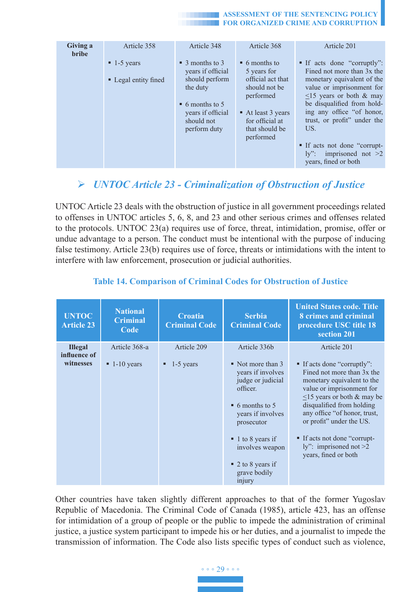| Giving a<br><b>bribe</b> | Article 358              | Article 348                                                                | Article 368                                           | Article 201                                                                                   |
|--------------------------|--------------------------|----------------------------------------------------------------------------|-------------------------------------------------------|-----------------------------------------------------------------------------------------------|
|                          | $\blacksquare$ 1-5 years | $\blacksquare$ 3 months to 3<br>years if official                          | $\bullet$ 6 months to<br>5 years for                  | • If acts done "corruptly":<br>Fined not more than 3x the                                     |
|                          | • Legal entity fined     | should perform<br>the duty                                                 | official act that<br>should not be<br>performed       | monetary equivalent of the<br>value or imprisonment for<br>$\leq$ 15 years or both & may      |
|                          |                          | $\bullet$ 6 months to 5<br>vears if official<br>should not<br>perform duty | At least 3 years<br>for official at<br>that should be | be disqualified from hold-<br>ing any office "of honor,<br>trust, or profit" under the<br>US. |
|                          |                          |                                                                            | performed                                             | If acts not done "corrupt-<br>ly": imprisoned not $>2$<br>years, fined or both                |

# *UNTOC Article 23 - Criminalization of Obstruction of Justice*

UNTOC Article 23 deals with the obstruction of justice in all government proceedings related to offenses in UNTOC articles 5, 6, 8, and 23 and other serious crimes and offenses related to the protocols. UNTOC 23(a) requires use of force, threat, intimidation, promise, offer or undue advantage to a person. The conduct must be intentional with the purpose of inducing false testimony. Article 23(b) requires use of force, threats or intimidations with the intent to interfere with law enforcement, prosecution or judicial authorities.

| <b>UNTOC</b><br><b>Article 23</b> | <b>National</b><br><b>Criminal</b><br>Code | <b>Croatia</b><br><b>Criminal Code</b> | <b>Serbia</b><br><b>Criminal Code</b>                                                                                                                                                                                                                          | <b>United States code. Title</b><br>8 crimes and criminal<br>procedure USC title 18<br>section 201                                                                                                                                                                                                                                  |
|-----------------------------------|--------------------------------------------|----------------------------------------|----------------------------------------------------------------------------------------------------------------------------------------------------------------------------------------------------------------------------------------------------------------|-------------------------------------------------------------------------------------------------------------------------------------------------------------------------------------------------------------------------------------------------------------------------------------------------------------------------------------|
| <b>Illegal</b><br>influence of    | Article 368-a                              | Article 209                            | Article 336b                                                                                                                                                                                                                                                   | Article 201                                                                                                                                                                                                                                                                                                                         |
| witnesses                         | $\blacksquare$ 1-10 years                  | $1-5$ years                            | $\blacksquare$ Not more than 3<br>years if involves<br>judge or judicial<br>officer.<br>$\bullet$ 6 months to 5<br>years if involves<br>prosecutor<br>$\blacksquare$ 1 to 8 years if<br>involves weapon<br>$\bullet$ 2 to 8 years if<br>grave bodily<br>injury | ■ If acts done "corruptly":<br>Fined not more than 3x the<br>monetary equivalent to the<br>value or imprisonment for<br>$\leq$ 15 years or both & may be<br>disqualified from holding<br>any office "of honor, trust,<br>or profit" under the US.<br>If acts not done "corrupt-<br>ly": imprisoned not $>2$<br>years, fined or both |

### **Table 14. Comparison of Criminal Codes for Obstruction of Justice**

Other countries have taken slightly different approaches to that of the former Yugoslav Republic of Macedonia. The Criminal Code of Canada (1985), article 423, has an offense for intimidation of a group of people or the public to impede the administration of criminal justice, a justice system participant to impede his or her duties, and a journalist to impede the transmission of information. The Code also lists specific types of conduct such as violence,

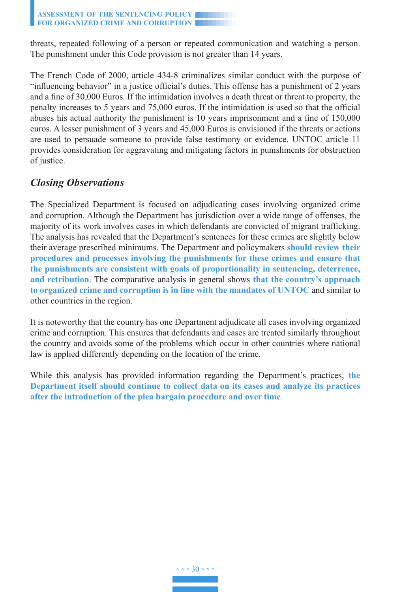threats, repeated following of a person or repeated communication and watching a person. The punishment under this Code provision is not greater than 14 years.

The French Code of 2000, article 434-8 criminalizes similar conduct with the purpose of "influencing behavior" in a justice official's duties. This offense has a punishment of 2 years and a fine of 30,000 Euros. If the intimidation involves a death threat or threat to property, the penalty increases to 5 years and 75,000 euros. If the intimidation is used so that the official abuses his actual authority the punishment is 10 years imprisonment and a fine of 150,000 euros. A lesser punishment of 3 years and 45,000 Euros is envisioned if the threats or actions are used to persuade someone to provide false testimony or evidence. UNTOC article 11 provides consideration for aggravating and mitigating factors in punishments for obstruction of justice.

# *Closing Observations*

The Specialized Department is focused on adjudicating cases involving organized crime and corruption. Although the Department has jurisdiction over a wide range of offenses, the majority of its work involves cases in which defendants are convicted of migrant trafficking. The analysis has revealed that the Department's sentences for these crimes are slightly below their average prescribed minimums. The Department and policymakers **should review their procedures and processes involving the punishments for these crimes and ensure that the punishments are consistent with goals of proportionality in sentencing, deterrence, and retribution**. The comparative analysis in general shows **that the country's approach to organized crime and corruption is in line with the mandates of UNTOC** and similar to other countries in the region.

It is noteworthy that the country has one Department adjudicate all cases involving organized crime and corruption. This ensures that defendants and cases are treated similarly throughout the country and avoids some of the problems which occur in other countries where national law is applied differently depending on the location of the crime.

While this analysis has provided information regarding the Department's practices, **the Department itself should continue to collect data on its cases and analyze its practices after the introduction of the plea bargain procedure and over time**.

◦ ◦ ◦ 30 ◦ ◦ ◦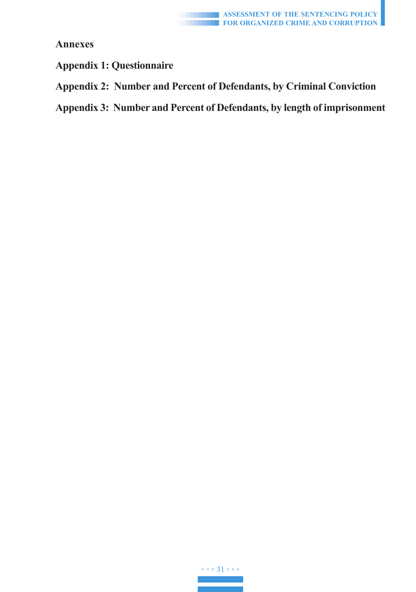

**Annexes**

**Appendix 1: Questionnaire**

**Appendix 2: Number and Percent of Defendants, by Criminal Conviction**

**Appendix 3: Number and Percent of Defendants, by length of imprisonment**

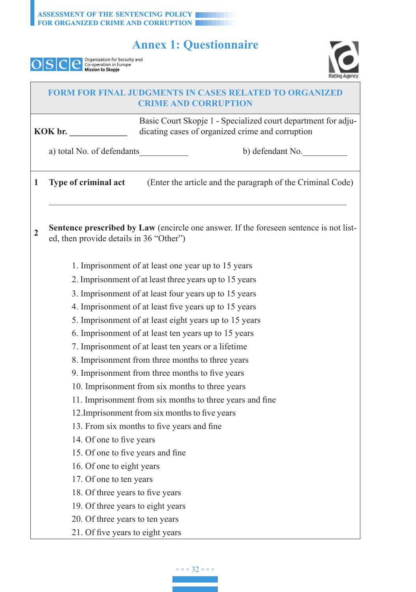# **Annex 1: Questionnaire**

| <b>Mission to Skopie</b> |
|--------------------------|
|--------------------------|

 $\Box$ 



|   |                                         | <b>FORM FOR FINAL JUDGMENTS IN CASES RELATED TO ORGANIZED</b><br><b>CRIME AND CORRUPTION</b>                      |
|---|-----------------------------------------|-------------------------------------------------------------------------------------------------------------------|
|   | KOK br.                                 | Basic Court Skopje 1 - Specialized court department for adju-<br>dicating cases of organized crime and corruption |
|   | a) total No. of defendants              | b) defendant No.                                                                                                  |
| 1 | Type of criminal act                    | (Enter the article and the paragraph of the Criminal Code)                                                        |
| 2 | ed, then provide details in 36 "Other") | Sentence prescribed by Law (encircle one answer. If the foreseen sentence is not list-                            |
|   |                                         | 1. Imprisonment of at least one year up to 15 years                                                               |
|   |                                         | 2. Imprisonment of at least three years up to 15 years                                                            |
|   |                                         | 3. Imprisonment of at least four years up to 15 years                                                             |
|   |                                         | 4. Imprisonment of at least five years up to 15 years                                                             |
|   |                                         | 5. Imprisonment of at least eight years up to 15 years                                                            |
|   |                                         | 6. Imprisonment of at least ten years up to 15 years                                                              |
|   |                                         | 7. Imprisonment of at least ten years or a lifetime                                                               |
|   |                                         | 8. Imprisonment from three months to three years                                                                  |
|   |                                         | 9. Imprisonment from three months to five years                                                                   |
|   |                                         | 10. Imprisonment from six months to three years                                                                   |
|   |                                         | 11. Imprisonment from six months to three years and fine                                                          |
|   |                                         | 12. Imprisonment from six months to five years                                                                    |
|   |                                         | 13. From six months to five years and fine                                                                        |
|   | 14. Of one to five years                |                                                                                                                   |
|   | 15. Of one to five years and fine       |                                                                                                                   |
|   | 16. Of one to eight years               |                                                                                                                   |
|   | 17. Of one to ten years                 |                                                                                                                   |
|   | 18. Of three years to five years        |                                                                                                                   |
|   | 19. Of three years to eight years       |                                                                                                                   |
|   | 20. Of three years to ten years         |                                                                                                                   |
|   | 21. Of five years to eight years        |                                                                                                                   |

◦ ◦ ◦ 32 ◦ ◦ ◦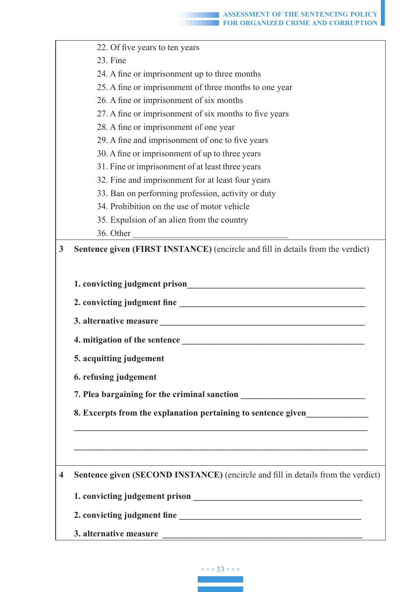| 22. Of five years to ten years<br>23. Fine<br>24. A fine or imprisonment up to three months<br>25. A fine or imprisonment of three months to one year<br>26. A fine or imprisonment of six months<br>27. A fine or imprisonment of six months to five years<br>28. A fine or imprisonment of one year<br>29. A fine and imprisonment of one to five years<br>30. A fine or imprisonment of up to three years<br>31. Fine or imprisonment of at least three years<br>32. Fine and imprisonment for at least four years<br>33. Ban on performing profession, activity or duty<br>34. Prohibition on the use of motor vehicle<br>35. Expulsion of an alien from the country<br>36. Other<br>Sentence given (FIRST INSTANCE) (encircle and fill in details from the verdict)<br>1. convicting judgment prison<br><u> 1989 - Johann Barbara, martxa eta idazlea (h. 1989).</u><br>5. acquitting judgement<br>6. refusing judgement<br>7. Plea bargaining for the criminal sanction __<br>8. Excerpts from the explanation pertaining to sentence given<br>Sentence given (SECOND INSTANCE) (encircle and fill in details from the verdict)<br>1. convicting judgement prison<br>3. alternative measure |   |  |
|---------------------------------------------------------------------------------------------------------------------------------------------------------------------------------------------------------------------------------------------------------------------------------------------------------------------------------------------------------------------------------------------------------------------------------------------------------------------------------------------------------------------------------------------------------------------------------------------------------------------------------------------------------------------------------------------------------------------------------------------------------------------------------------------------------------------------------------------------------------------------------------------------------------------------------------------------------------------------------------------------------------------------------------------------------------------------------------------------------------------------------------------------------------------------------------------------|---|--|
|                                                                                                                                                                                                                                                                                                                                                                                                                                                                                                                                                                                                                                                                                                                                                                                                                                                                                                                                                                                                                                                                                                                                                                                                   |   |  |
|                                                                                                                                                                                                                                                                                                                                                                                                                                                                                                                                                                                                                                                                                                                                                                                                                                                                                                                                                                                                                                                                                                                                                                                                   |   |  |
|                                                                                                                                                                                                                                                                                                                                                                                                                                                                                                                                                                                                                                                                                                                                                                                                                                                                                                                                                                                                                                                                                                                                                                                                   |   |  |
|                                                                                                                                                                                                                                                                                                                                                                                                                                                                                                                                                                                                                                                                                                                                                                                                                                                                                                                                                                                                                                                                                                                                                                                                   |   |  |
|                                                                                                                                                                                                                                                                                                                                                                                                                                                                                                                                                                                                                                                                                                                                                                                                                                                                                                                                                                                                                                                                                                                                                                                                   |   |  |
|                                                                                                                                                                                                                                                                                                                                                                                                                                                                                                                                                                                                                                                                                                                                                                                                                                                                                                                                                                                                                                                                                                                                                                                                   |   |  |
|                                                                                                                                                                                                                                                                                                                                                                                                                                                                                                                                                                                                                                                                                                                                                                                                                                                                                                                                                                                                                                                                                                                                                                                                   |   |  |
|                                                                                                                                                                                                                                                                                                                                                                                                                                                                                                                                                                                                                                                                                                                                                                                                                                                                                                                                                                                                                                                                                                                                                                                                   |   |  |
|                                                                                                                                                                                                                                                                                                                                                                                                                                                                                                                                                                                                                                                                                                                                                                                                                                                                                                                                                                                                                                                                                                                                                                                                   |   |  |
|                                                                                                                                                                                                                                                                                                                                                                                                                                                                                                                                                                                                                                                                                                                                                                                                                                                                                                                                                                                                                                                                                                                                                                                                   |   |  |
|                                                                                                                                                                                                                                                                                                                                                                                                                                                                                                                                                                                                                                                                                                                                                                                                                                                                                                                                                                                                                                                                                                                                                                                                   |   |  |
|                                                                                                                                                                                                                                                                                                                                                                                                                                                                                                                                                                                                                                                                                                                                                                                                                                                                                                                                                                                                                                                                                                                                                                                                   |   |  |
|                                                                                                                                                                                                                                                                                                                                                                                                                                                                                                                                                                                                                                                                                                                                                                                                                                                                                                                                                                                                                                                                                                                                                                                                   |   |  |
|                                                                                                                                                                                                                                                                                                                                                                                                                                                                                                                                                                                                                                                                                                                                                                                                                                                                                                                                                                                                                                                                                                                                                                                                   |   |  |
|                                                                                                                                                                                                                                                                                                                                                                                                                                                                                                                                                                                                                                                                                                                                                                                                                                                                                                                                                                                                                                                                                                                                                                                                   |   |  |
|                                                                                                                                                                                                                                                                                                                                                                                                                                                                                                                                                                                                                                                                                                                                                                                                                                                                                                                                                                                                                                                                                                                                                                                                   | 3 |  |
|                                                                                                                                                                                                                                                                                                                                                                                                                                                                                                                                                                                                                                                                                                                                                                                                                                                                                                                                                                                                                                                                                                                                                                                                   |   |  |
|                                                                                                                                                                                                                                                                                                                                                                                                                                                                                                                                                                                                                                                                                                                                                                                                                                                                                                                                                                                                                                                                                                                                                                                                   |   |  |
|                                                                                                                                                                                                                                                                                                                                                                                                                                                                                                                                                                                                                                                                                                                                                                                                                                                                                                                                                                                                                                                                                                                                                                                                   |   |  |
|                                                                                                                                                                                                                                                                                                                                                                                                                                                                                                                                                                                                                                                                                                                                                                                                                                                                                                                                                                                                                                                                                                                                                                                                   |   |  |
|                                                                                                                                                                                                                                                                                                                                                                                                                                                                                                                                                                                                                                                                                                                                                                                                                                                                                                                                                                                                                                                                                                                                                                                                   |   |  |
|                                                                                                                                                                                                                                                                                                                                                                                                                                                                                                                                                                                                                                                                                                                                                                                                                                                                                                                                                                                                                                                                                                                                                                                                   |   |  |
|                                                                                                                                                                                                                                                                                                                                                                                                                                                                                                                                                                                                                                                                                                                                                                                                                                                                                                                                                                                                                                                                                                                                                                                                   |   |  |
|                                                                                                                                                                                                                                                                                                                                                                                                                                                                                                                                                                                                                                                                                                                                                                                                                                                                                                                                                                                                                                                                                                                                                                                                   |   |  |
|                                                                                                                                                                                                                                                                                                                                                                                                                                                                                                                                                                                                                                                                                                                                                                                                                                                                                                                                                                                                                                                                                                                                                                                                   |   |  |
|                                                                                                                                                                                                                                                                                                                                                                                                                                                                                                                                                                                                                                                                                                                                                                                                                                                                                                                                                                                                                                                                                                                                                                                                   |   |  |
|                                                                                                                                                                                                                                                                                                                                                                                                                                                                                                                                                                                                                                                                                                                                                                                                                                                                                                                                                                                                                                                                                                                                                                                                   |   |  |
|                                                                                                                                                                                                                                                                                                                                                                                                                                                                                                                                                                                                                                                                                                                                                                                                                                                                                                                                                                                                                                                                                                                                                                                                   |   |  |
|                                                                                                                                                                                                                                                                                                                                                                                                                                                                                                                                                                                                                                                                                                                                                                                                                                                                                                                                                                                                                                                                                                                                                                                                   |   |  |
|                                                                                                                                                                                                                                                                                                                                                                                                                                                                                                                                                                                                                                                                                                                                                                                                                                                                                                                                                                                                                                                                                                                                                                                                   |   |  |
|                                                                                                                                                                                                                                                                                                                                                                                                                                                                                                                                                                                                                                                                                                                                                                                                                                                                                                                                                                                                                                                                                                                                                                                                   | 4 |  |
|                                                                                                                                                                                                                                                                                                                                                                                                                                                                                                                                                                                                                                                                                                                                                                                                                                                                                                                                                                                                                                                                                                                                                                                                   |   |  |
|                                                                                                                                                                                                                                                                                                                                                                                                                                                                                                                                                                                                                                                                                                                                                                                                                                                                                                                                                                                                                                                                                                                                                                                                   |   |  |
|                                                                                                                                                                                                                                                                                                                                                                                                                                                                                                                                                                                                                                                                                                                                                                                                                                                                                                                                                                                                                                                                                                                                                                                                   |   |  |
|                                                                                                                                                                                                                                                                                                                                                                                                                                                                                                                                                                                                                                                                                                                                                                                                                                                                                                                                                                                                                                                                                                                                                                                                   |   |  |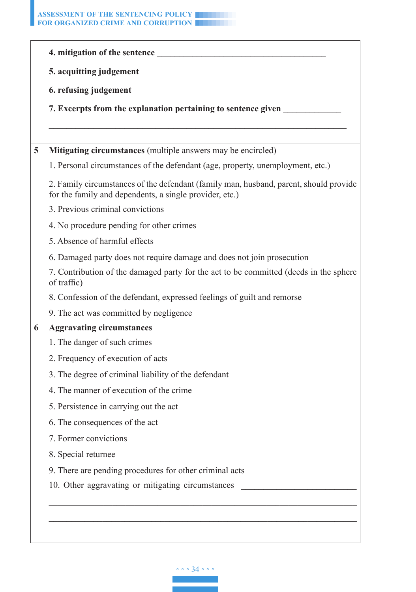| 5. acquitting judgement<br>6. refusing judgement<br>Mitigating circumstances (multiple answers may be encircled)<br>5<br>for the family and dependents, a single provider, etc.)<br>3. Previous criminal convictions<br>4. No procedure pending for other crimes<br>5. Absence of harmful effects<br>6. Damaged party does not require damage and does not join prosecution<br>of traffic)<br>8. Confession of the defendant, expressed feelings of guilt and remorse<br>9. The act was committed by negligence<br>6<br><b>Aggravating circumstances</b><br>1. The danger of such crimes<br>2. Frequency of execution of acts<br>3. The degree of criminal liability of the defendant<br>4. The manner of execution of the crime<br>5. Persistence in carrying out the act<br>6. The consequences of the act<br>7. Former convictions<br>8. Special returnee<br>9. There are pending procedures for other criminal acts |                                                                                                                                                                            |
|-------------------------------------------------------------------------------------------------------------------------------------------------------------------------------------------------------------------------------------------------------------------------------------------------------------------------------------------------------------------------------------------------------------------------------------------------------------------------------------------------------------------------------------------------------------------------------------------------------------------------------------------------------------------------------------------------------------------------------------------------------------------------------------------------------------------------------------------------------------------------------------------------------------------------|----------------------------------------------------------------------------------------------------------------------------------------------------------------------------|
|                                                                                                                                                                                                                                                                                                                                                                                                                                                                                                                                                                                                                                                                                                                                                                                                                                                                                                                         |                                                                                                                                                                            |
|                                                                                                                                                                                                                                                                                                                                                                                                                                                                                                                                                                                                                                                                                                                                                                                                                                                                                                                         |                                                                                                                                                                            |
|                                                                                                                                                                                                                                                                                                                                                                                                                                                                                                                                                                                                                                                                                                                                                                                                                                                                                                                         | 7. Excerpts from the explanation pertaining to sentence given                                                                                                              |
|                                                                                                                                                                                                                                                                                                                                                                                                                                                                                                                                                                                                                                                                                                                                                                                                                                                                                                                         |                                                                                                                                                                            |
|                                                                                                                                                                                                                                                                                                                                                                                                                                                                                                                                                                                                                                                                                                                                                                                                                                                                                                                         |                                                                                                                                                                            |
|                                                                                                                                                                                                                                                                                                                                                                                                                                                                                                                                                                                                                                                                                                                                                                                                                                                                                                                         | 1. Personal circumstances of the defendant (age, property, unemployment, etc.)                                                                                             |
|                                                                                                                                                                                                                                                                                                                                                                                                                                                                                                                                                                                                                                                                                                                                                                                                                                                                                                                         | 2. Family circumstances of the defendant (family man, husband, parent, should provide                                                                                      |
|                                                                                                                                                                                                                                                                                                                                                                                                                                                                                                                                                                                                                                                                                                                                                                                                                                                                                                                         |                                                                                                                                                                            |
|                                                                                                                                                                                                                                                                                                                                                                                                                                                                                                                                                                                                                                                                                                                                                                                                                                                                                                                         |                                                                                                                                                                            |
|                                                                                                                                                                                                                                                                                                                                                                                                                                                                                                                                                                                                                                                                                                                                                                                                                                                                                                                         |                                                                                                                                                                            |
|                                                                                                                                                                                                                                                                                                                                                                                                                                                                                                                                                                                                                                                                                                                                                                                                                                                                                                                         |                                                                                                                                                                            |
|                                                                                                                                                                                                                                                                                                                                                                                                                                                                                                                                                                                                                                                                                                                                                                                                                                                                                                                         | 7. Contribution of the damaged party for the act to be committed (deeds in the sphere                                                                                      |
|                                                                                                                                                                                                                                                                                                                                                                                                                                                                                                                                                                                                                                                                                                                                                                                                                                                                                                                         |                                                                                                                                                                            |
|                                                                                                                                                                                                                                                                                                                                                                                                                                                                                                                                                                                                                                                                                                                                                                                                                                                                                                                         |                                                                                                                                                                            |
|                                                                                                                                                                                                                                                                                                                                                                                                                                                                                                                                                                                                                                                                                                                                                                                                                                                                                                                         |                                                                                                                                                                            |
|                                                                                                                                                                                                                                                                                                                                                                                                                                                                                                                                                                                                                                                                                                                                                                                                                                                                                                                         |                                                                                                                                                                            |
|                                                                                                                                                                                                                                                                                                                                                                                                                                                                                                                                                                                                                                                                                                                                                                                                                                                                                                                         |                                                                                                                                                                            |
|                                                                                                                                                                                                                                                                                                                                                                                                                                                                                                                                                                                                                                                                                                                                                                                                                                                                                                                         |                                                                                                                                                                            |
|                                                                                                                                                                                                                                                                                                                                                                                                                                                                                                                                                                                                                                                                                                                                                                                                                                                                                                                         |                                                                                                                                                                            |
|                                                                                                                                                                                                                                                                                                                                                                                                                                                                                                                                                                                                                                                                                                                                                                                                                                                                                                                         |                                                                                                                                                                            |
|                                                                                                                                                                                                                                                                                                                                                                                                                                                                                                                                                                                                                                                                                                                                                                                                                                                                                                                         |                                                                                                                                                                            |
|                                                                                                                                                                                                                                                                                                                                                                                                                                                                                                                                                                                                                                                                                                                                                                                                                                                                                                                         |                                                                                                                                                                            |
|                                                                                                                                                                                                                                                                                                                                                                                                                                                                                                                                                                                                                                                                                                                                                                                                                                                                                                                         |                                                                                                                                                                            |
|                                                                                                                                                                                                                                                                                                                                                                                                                                                                                                                                                                                                                                                                                                                                                                                                                                                                                                                         |                                                                                                                                                                            |
|                                                                                                                                                                                                                                                                                                                                                                                                                                                                                                                                                                                                                                                                                                                                                                                                                                                                                                                         | 10. Other aggravating or mitigating circumstances<br><u> 1989 - Johann Harry Barn, mars and de Barn, mars and de Barn, mars and de Barn, mars and de Barn, mars and de</u> |
|                                                                                                                                                                                                                                                                                                                                                                                                                                                                                                                                                                                                                                                                                                                                                                                                                                                                                                                         |                                                                                                                                                                            |

◦ ◦ ◦ 34 ◦ ◦ ◦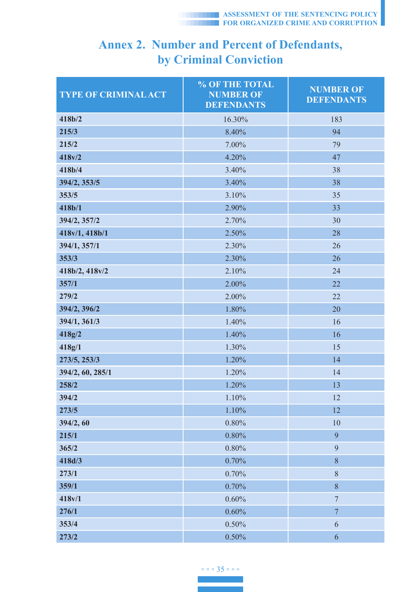# **Annex 2. Number and Percent of Defendants, by Criminal Conviction**

| <b>TYPE OF CRIMINAL ACT</b> | % OF THE TOTAL<br><b>NUMBER OF</b><br><b>DEFENDANTS</b> | <b>NUMBER OF</b><br><b>DEFENDANTS</b> |
|-----------------------------|---------------------------------------------------------|---------------------------------------|
| 418b/2                      | 16.30%                                                  | 183                                   |
| 215/3                       | 8.40%                                                   | 94                                    |
| 215/2                       | 7.00%                                                   | 79                                    |
| 418v/2                      | 4.20%                                                   | 47                                    |
| 418b/4                      | 3.40%                                                   | 38                                    |
| 394/2, 353/5                | 3.40%                                                   | 38                                    |
| 353/5                       | 3.10%                                                   | 35                                    |
| 418b/1                      | 2.90%                                                   | 33                                    |
| 394/2, 357/2                | 2.70%                                                   | 30                                    |
| 418v/1, 418b/1              | 2.50%                                                   | 28                                    |
| 394/1, 357/1                | 2.30%                                                   | 26                                    |
| 353/3                       | 2.30%                                                   | 26                                    |
| 418b/2, 418v/2              | 2.10%                                                   | 24                                    |
| 357/1                       | 2.00%                                                   | 22                                    |
| 279/2                       | 2.00%                                                   | 22                                    |
| 394/2, 396/2                | 1.80%                                                   | 20                                    |
| 394/1, 361/3                | 1.40%                                                   | 16                                    |
| 418g/2                      | 1.40%                                                   | 16                                    |
| 418g/1                      | 1.30%                                                   | 15                                    |
| 273/5, 253/3                | 1.20%                                                   | 14                                    |
| 394/2, 60, 285/1            | 1.20%                                                   | 14                                    |
| 258/2                       | 1.20%                                                   | 13                                    |
| 394/2                       | 1.10%                                                   | 12                                    |
| 273/5                       | 1.10%                                                   | 12                                    |
| 394/2, 60                   | 0.80%                                                   | 10                                    |
| 215/1                       | 0.80%                                                   | 9                                     |
| 365/2                       | 0.80%                                                   | $\overline{9}$                        |
| 418d/3                      | 0.70%                                                   | $\,8\,$                               |
| 273/1                       | 0.70%                                                   | $8\,$                                 |
| 359/1                       | 0.70%                                                   | $\,8\,$                               |
| 418v/1                      | 0.60%                                                   | $\boldsymbol{7}$                      |
| 276/1                       | 0.60%                                                   | $\overline{7}$                        |
| 353/4                       | 0.50%                                                   | 6                                     |
| 273/2                       | 0.50%                                                   | 6                                     |

◦ ◦ ◦ 35 ◦ ◦ ◦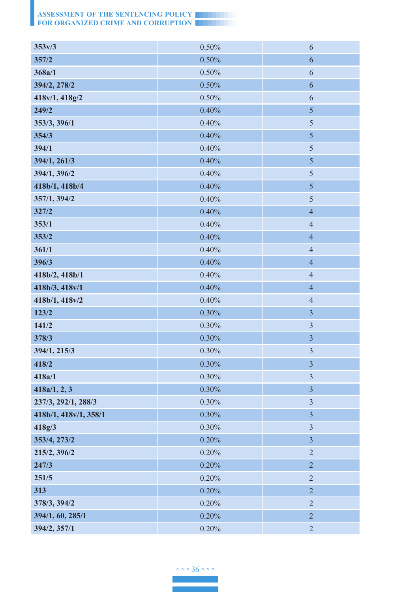| 353v/3                | 0.50%    | 6                       |
|-----------------------|----------|-------------------------|
| 357/2                 | 0.50%    | 6                       |
| 368a/1                | 0.50%    | 6                       |
| 394/2, 278/2          | 0.50%    | $\boldsymbol{6}$        |
| 418v/1, 418g/2        | 0.50%    | 6                       |
| 249/2                 | 0.40%    | 5                       |
| 353/3, 396/1          | 0.40%    | 5                       |
| 354/3                 | 0.40%    | 5                       |
| 394/1                 | 0.40%    | 5                       |
| 394/1, 261/3          | 0.40%    | 5                       |
| 394/1, 396/2          | 0.40%    | 5                       |
| 418b/1, 418b/4        | 0.40%    | 5                       |
| 357/1, 394/2          | 0.40%    | 5                       |
| 327/2                 | 0.40%    | $\overline{4}$          |
| 353/1                 | 0.40%    | $\overline{4}$          |
| 353/2                 | 0.40%    | $\overline{4}$          |
| 361/1                 | 0.40%    | $\overline{4}$          |
| 396/3                 | 0.40%    | $\overline{4}$          |
| 418b/2, 418b/1        | 0.40%    | $\overline{4}$          |
| 418b/3, 418v/1        | 0.40%    | $\overline{4}$          |
| 418b/1, 418v/2        | 0.40%    | $\overline{4}$          |
| 123/2                 | 0.30%    | $\overline{\mathbf{3}}$ |
| 141/2                 | 0.30%    | $\mathfrak{Z}$          |
| 378/3                 | 0.30%    | $\overline{3}$          |
| 394/1, 215/3          | 0.30%    | $\mathfrak{Z}$          |
| 418/2                 | 0.30%    | $\overline{3}$          |
| 418a/1                | 0.30%    | $\mathfrak{Z}$          |
| 418a/1, 2, 3          | 0.30%    | $\overline{3}$          |
| 237/3, 292/1, 288/3   | 0.30%    | $\overline{\mathbf{3}}$ |
| 418b/1, 418v/1, 358/1 | 0.30%    | $\overline{\mathbf{3}}$ |
| 418g/3                | 0.30%    | $\overline{\mathbf{3}}$ |
| 353/4, 273/2          | $0.20\%$ | $\overline{\mathbf{3}}$ |
| 215/2, 396/2          | $0.20\%$ | $\sqrt{2}$              |
| 247/3                 | 0.20%    | $\overline{2}$          |
| 251/5                 | $0.20\%$ | $\overline{c}$          |
| 313                   | 0.20%    | $\overline{2}$          |
| 378/3, 394/2          | $0.20\%$ | $\overline{c}$          |
| 394/1, 60, 285/1      | $0.20\%$ | $\sqrt{2}$              |
| 394/2, 357/1          | $0.20\%$ | $\sqrt{2}$              |

◦ ◦ ◦ 36 ◦ ◦ ◦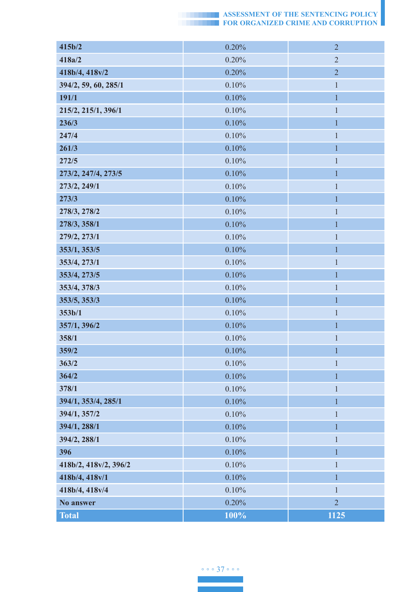| 415b/2                | 0.20%    | $\overline{2}$ |
|-----------------------|----------|----------------|
| 418a/2                | 0.20%    | $\overline{2}$ |
| 418b/4, 418v/2        | 0.20%    | $\overline{2}$ |
| 394/2, 59, 60, 285/1  | 0.10%    | $\mathbf{1}$   |
| 191/1                 | 0.10%    | $\mathbf{1}$   |
| 215/2, 215/1, 396/1   | 0.10%    | $\mathbf{1}$   |
| 236/3                 | 0.10%    | $\mathbf{1}$   |
| 247/4                 | 0.10%    | $\mathbf{1}$   |
| 261/3                 | 0.10%    | $\mathbf{1}$   |
| 272/5                 | 0.10%    | $\,1$          |
| 273/2, 247/4, 273/5   | 0.10%    | 1              |
| 273/2, 249/1          | 0.10%    | $\mathbf{1}$   |
| 273/3                 | 0.10%    | $\mathbf{1}$   |
| 278/3, 278/2          | 0.10%    | $\mathbf{1}$   |
| 278/3, 358/1          | 0.10%    | $\mathbf{1}$   |
| 279/2, 273/1          | 0.10%    | $\mathbf{1}$   |
| 353/1, 353/5          | 0.10%    | $\mathbf{1}$   |
| 353/4, 273/1          | 0.10%    | $\mathbf{1}$   |
| 353/4, 273/5          | 0.10%    | 1              |
| 353/4, 378/3          | 0.10%    | $\mathbf{1}$   |
| 353/5, 353/3          | 0.10%    | $\mathbf{1}$   |
| 353b/1                | $0.10\%$ | 1              |
| 357/1, 396/2          | 0.10%    | $\mathbf{1}$   |
| 358/1                 | 0.10%    | $\mathbf{1}$   |
| 359/2                 | 0.10%    | $\mathbf{1}$   |
| 363/2                 | 0.10%    | $\mathbf{1}$   |
| 364/2                 | 0.10%    | 1              |
| 378/1                 | 0.10%    | $\mathbf{1}$   |
| 394/1, 353/4, 285/1   | 0.10%    | $\mathbf{1}$   |
| 394/1, 357/2          | 0.10%    | $\mathbf{1}$   |
| 394/1, 288/1          | 0.10%    | 1              |
| 394/2, 288/1          | $0.10\%$ | $\mathbf{I}$   |
| 396                   | $0.10\%$ | $\mathbf{1}$   |
| 418b/2, 418v/2, 396/2 | $0.10\%$ | $\mathbf{1}$   |
| 418b/4, 418v/1        | 0.10%    | 1              |
| 418b/4, 418v/4        | $0.10\%$ | $\mathbf{1}$   |
| No answer             | $0.20\%$ | $\sqrt{2}$     |
| <b>Total</b>          | 100%     | 1125           |

◦ ◦ ◦ 37 ◦ ◦ ◦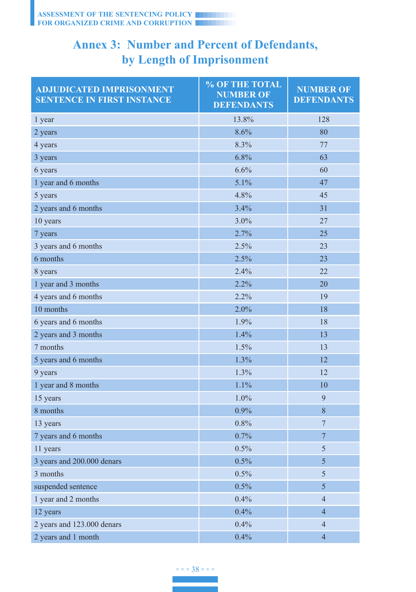# **Annex 3: Number and Percent of Defendants, by Length of Imprisonment**

| <b>ADJUDICATED IMPRISONMENT</b><br><b>SENTENCE IN FIRST INSTANCE</b> | % OF THE TOTAL<br><b>NUMBER OF</b><br><b>DEFENDANTS</b> | <b>NUMBER OF</b><br><b>DEFENDANTS</b> |
|----------------------------------------------------------------------|---------------------------------------------------------|---------------------------------------|
| 1 year                                                               | 13.8%                                                   | 128                                   |
| 2 years                                                              | 8.6%                                                    | 80                                    |
| 4 years                                                              | 8.3%                                                    | 77                                    |
| 3 years                                                              | 6.8%                                                    | 63                                    |
| 6 years                                                              | 6.6%                                                    | 60                                    |
| 1 year and 6 months                                                  | 5.1%                                                    | 47                                    |
| 5 years                                                              | 4.8%                                                    | 45                                    |
| 2 years and 6 months                                                 | 3.4%                                                    | 31                                    |
| 10 years                                                             | 3.0%                                                    | 27                                    |
| 7 years                                                              | 2.7%                                                    | 25                                    |
| 3 years and 6 months                                                 | 2.5%                                                    | 23                                    |
| 6 months                                                             | 2.5%                                                    | 23                                    |
| 8 years                                                              | 2.4%                                                    | 22                                    |
| 1 year and 3 months                                                  | 2.2%                                                    | 20                                    |
| 4 years and 6 months                                                 | 2.2%                                                    | 19                                    |
| 10 months                                                            | $2.0\%$                                                 | 18                                    |
| 6 years and 6 months                                                 | 1.9%                                                    | 18                                    |
| 2 years and 3 months                                                 | 1.4%                                                    | 13                                    |
| 7 months                                                             | 1.5%                                                    | 13                                    |
| 5 years and 6 months                                                 | 1.3%                                                    | 12                                    |
| 9 years                                                              | 1.3%                                                    | 12                                    |
| 1 year and 8 months                                                  | 1.1%                                                    | 10                                    |
| 15 years                                                             | 1.0%                                                    | $\overline{9}$                        |
| 8 months                                                             | 0.9%                                                    | 8                                     |
| 13 years                                                             | 0.8%                                                    | $7\phantom{.0}$                       |
| 7 years and 6 months                                                 | 0.7%                                                    | $\overline{7}$                        |
| 11 years                                                             | 0.5%                                                    | 5                                     |
| 3 years and 200.000 denars                                           | 0.5%                                                    | 5                                     |
| 3 months                                                             | 0.5%                                                    | 5                                     |
| suspended sentence                                                   | 0.5%                                                    | 5                                     |
| 1 year and 2 months                                                  | 0.4%                                                    | $\overline{4}$                        |
| 12 years                                                             | 0.4%                                                    | $\overline{4}$                        |
| 2 years and 123,000 denars                                           | 0.4%                                                    | $\overline{4}$                        |
| 2 years and 1 month                                                  | 0.4%                                                    | $\overline{4}$                        |

◦ ◦ ◦ 38 ◦ ◦ ◦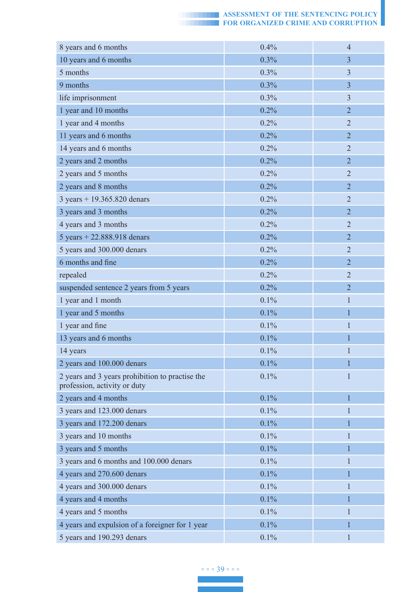| 8 years and 6 months                                                            | 0.4%    | $\overline{4}$ |
|---------------------------------------------------------------------------------|---------|----------------|
| 10 years and 6 months                                                           | 0.3%    | $\overline{3}$ |
| 5 months                                                                        | $0.3\%$ | 3              |
| 9 months                                                                        | 0.3%    | $\overline{3}$ |
| life imprisonment                                                               | 0.3%    | $\overline{3}$ |
| 1 year and 10 months                                                            | 0.2%    | $\overline{2}$ |
| 1 year and 4 months                                                             | 0.2%    | $\overline{2}$ |
| 11 years and 6 months                                                           | 0.2%    | $\overline{2}$ |
| 14 years and 6 months                                                           | $0.2\%$ | $\overline{2}$ |
| 2 years and 2 months                                                            | 0.2%    | $\overline{2}$ |
| 2 years and 5 months                                                            | $0.2\%$ | $\overline{2}$ |
| 2 years and 8 months                                                            | 0.2%    | $\overline{2}$ |
| 3 years + 19.365.820 denars                                                     | 0.2%    | $\overline{2}$ |
| 3 years and 3 months                                                            | 0.2%    | $\overline{2}$ |
| 4 years and 3 months                                                            | 0.2%    | $\overline{2}$ |
| 5 years $+ 22.888.918$ denars                                                   | 0.2%    | $\overline{2}$ |
| 5 years and 300.000 denars                                                      | 0.2%    | $\overline{2}$ |
| 6 months and fine                                                               | 0.2%    | $\overline{2}$ |
| repealed                                                                        | 0.2%    | $\overline{2}$ |
| suspended sentence 2 years from 5 years                                         | 0.2%    | $\overline{2}$ |
| 1 year and 1 month                                                              | 0.1%    | $\mathbf{1}$   |
| 1 year and 5 months                                                             | 0.1%    | 1              |
| 1 year and fine                                                                 | 0.1%    | $\mathbf{1}$   |
| 13 years and 6 months                                                           | 0.1%    | 1              |
| 14 years                                                                        | 0.1%    | 1              |
| 2 years and 100.000 denars                                                      | 0.1%    | $\mathbf{1}$   |
| 2 years and 3 years prohibition to practise the<br>profession, activity or duty | 0.1%    | 1              |
| 2 years and 4 months                                                            | 0.1%    | $\mathbf{1}$   |
| 3 years and 123.000 denars                                                      | 0.1%    | $\mathbf{1}$   |
| 3 years and 172.200 denars                                                      | 0.1%    | 1              |
| 3 years and 10 months                                                           | 0.1%    |                |
| 3 years and 5 months                                                            | 0.1%    | $\mathbf{1}$   |
| 3 years and 6 months and 100.000 denars                                         | 0.1%    | 1              |
| 4 years and 270.600 denars                                                      | 0.1%    | 1              |
| 4 years and 300.000 denars                                                      | 0.1%    | $\mathbf{1}$   |
| 4 years and 4 months                                                            | 0.1%    | 1              |
| 4 years and 5 months                                                            | $0.1\%$ | 1              |
| 4 years and expulsion of a foreigner for 1 year                                 | 0.1%    | $\mathbf{1}$   |
| 5 years and 190.293 denars                                                      | 0.1%    | $\mathbf{1}$   |

◦ ◦ ◦ 39 ◦ ◦ ◦